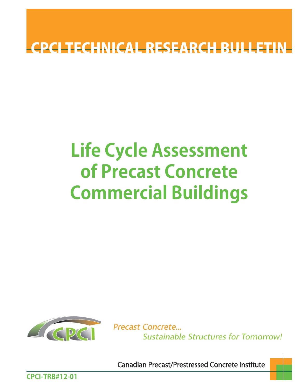## **CPCI TECHNICAL RESEARCH BULLET**

# **Life Cycle Assessment of Precast Concrete Commercial Buildings**



Precast Concrete... **Sustainable Structures for Tomorrow!** 

Canadian Precast/Prestressed Concrete Institute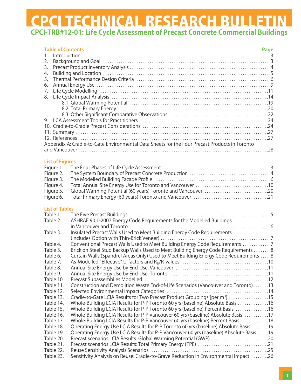| <b>List of Figures</b><br>Figure 1.<br>Figure 2.<br>Figure 3.<br>Figure 4.<br>Global Warming Potential (60 years) Toronto and Vancouver 20<br>Figure 5.<br>Figure 6.<br><b>List of Tables</b><br>Table 1.<br>ASHRAE 90.1-2007 Energy Code Requirements for the Modelled Buildings<br>Table 2.<br>Insulated Precast Walls Used to Meet Building Energy Code Requirements<br>Table 3.<br>Conventional Precast Walls Used to Meet Building Energy Code Requirements 7<br>Table 4.<br>Brick on Steel Stud Backup Walls Used to Meet Building Energy Code Requirements 8<br>Table 5.<br>Curtain Walls (Spandrel Areas Only) Used to Meet Building Energy Code Requirements 8<br>Table 6.<br>Table 7.<br>Table 8.<br>Table 9.<br>Table 10.<br>Construction and Demolition Waste End-of-Life Scenarios (Vancouver and Toronto) 13<br>Table 11.<br>Table 12.<br>Cradle-to-Gate LCIA Results for Two Precast Product Groupings [per m <sup>3</sup> ] 15<br>Table 13.<br>Table 14.<br>Whole-Building LCIA Results for P-P Toronto 60 yrs (baseline) Absolute Basis 16<br>Whole-Building LCIA Results for P-P Toronto 60 yrs (baseline) Percent Basis 16<br>Table 15.<br>Whole-Building LCIA Results for P-P Vancouver 60 yrs (baseline) Absolute Basis 17<br>Table 16.<br>Whole-Building LCIA Results for P-P Vancouver 60 yrs (baseline) Percent Basis 18<br>Table 17.<br>Operating Energy Use LCIA Results for P-P Toronto 60 yrs (baseline) Absolute Basis 19<br>Table 18.<br>Operating Energy Use LCIA Results for P-P Vancouver 60 yrs (baseline) Absolute Basis 19<br>Table 19. | <b>Table of Contents</b><br>1.<br>2.<br>3.<br>4.<br>5.<br>6.<br>7.<br>8. | Page<br>Appendix A: Cradle-to-Gate Environmental Data Sheets for the Four Precast Products in Toronto |  |
|-----------------------------------------------------------------------------------------------------------------------------------------------------------------------------------------------------------------------------------------------------------------------------------------------------------------------------------------------------------------------------------------------------------------------------------------------------------------------------------------------------------------------------------------------------------------------------------------------------------------------------------------------------------------------------------------------------------------------------------------------------------------------------------------------------------------------------------------------------------------------------------------------------------------------------------------------------------------------------------------------------------------------------------------------------------------------------------------------------------------------------------------------------------------------------------------------------------------------------------------------------------------------------------------------------------------------------------------------------------------------------------------------------------------------------------------------------------------------------------------------------------------------------------------------------------------------------|--------------------------------------------------------------------------|-------------------------------------------------------------------------------------------------------|--|
|                                                                                                                                                                                                                                                                                                                                                                                                                                                                                                                                                                                                                                                                                                                                                                                                                                                                                                                                                                                                                                                                                                                                                                                                                                                                                                                                                                                                                                                                                                                                                                             |                                                                          |                                                                                                       |  |
|                                                                                                                                                                                                                                                                                                                                                                                                                                                                                                                                                                                                                                                                                                                                                                                                                                                                                                                                                                                                                                                                                                                                                                                                                                                                                                                                                                                                                                                                                                                                                                             |                                                                          |                                                                                                       |  |
|                                                                                                                                                                                                                                                                                                                                                                                                                                                                                                                                                                                                                                                                                                                                                                                                                                                                                                                                                                                                                                                                                                                                                                                                                                                                                                                                                                                                                                                                                                                                                                             |                                                                          |                                                                                                       |  |
|                                                                                                                                                                                                                                                                                                                                                                                                                                                                                                                                                                                                                                                                                                                                                                                                                                                                                                                                                                                                                                                                                                                                                                                                                                                                                                                                                                                                                                                                                                                                                                             |                                                                          |                                                                                                       |  |
|                                                                                                                                                                                                                                                                                                                                                                                                                                                                                                                                                                                                                                                                                                                                                                                                                                                                                                                                                                                                                                                                                                                                                                                                                                                                                                                                                                                                                                                                                                                                                                             |                                                                          |                                                                                                       |  |
|                                                                                                                                                                                                                                                                                                                                                                                                                                                                                                                                                                                                                                                                                                                                                                                                                                                                                                                                                                                                                                                                                                                                                                                                                                                                                                                                                                                                                                                                                                                                                                             |                                                                          |                                                                                                       |  |
|                                                                                                                                                                                                                                                                                                                                                                                                                                                                                                                                                                                                                                                                                                                                                                                                                                                                                                                                                                                                                                                                                                                                                                                                                                                                                                                                                                                                                                                                                                                                                                             |                                                                          |                                                                                                       |  |
|                                                                                                                                                                                                                                                                                                                                                                                                                                                                                                                                                                                                                                                                                                                                                                                                                                                                                                                                                                                                                                                                                                                                                                                                                                                                                                                                                                                                                                                                                                                                                                             |                                                                          |                                                                                                       |  |
|                                                                                                                                                                                                                                                                                                                                                                                                                                                                                                                                                                                                                                                                                                                                                                                                                                                                                                                                                                                                                                                                                                                                                                                                                                                                                                                                                                                                                                                                                                                                                                             |                                                                          |                                                                                                       |  |
|                                                                                                                                                                                                                                                                                                                                                                                                                                                                                                                                                                                                                                                                                                                                                                                                                                                                                                                                                                                                                                                                                                                                                                                                                                                                                                                                                                                                                                                                                                                                                                             |                                                                          |                                                                                                       |  |
|                                                                                                                                                                                                                                                                                                                                                                                                                                                                                                                                                                                                                                                                                                                                                                                                                                                                                                                                                                                                                                                                                                                                                                                                                                                                                                                                                                                                                                                                                                                                                                             |                                                                          |                                                                                                       |  |
|                                                                                                                                                                                                                                                                                                                                                                                                                                                                                                                                                                                                                                                                                                                                                                                                                                                                                                                                                                                                                                                                                                                                                                                                                                                                                                                                                                                                                                                                                                                                                                             |                                                                          |                                                                                                       |  |
|                                                                                                                                                                                                                                                                                                                                                                                                                                                                                                                                                                                                                                                                                                                                                                                                                                                                                                                                                                                                                                                                                                                                                                                                                                                                                                                                                                                                                                                                                                                                                                             |                                                                          |                                                                                                       |  |
|                                                                                                                                                                                                                                                                                                                                                                                                                                                                                                                                                                                                                                                                                                                                                                                                                                                                                                                                                                                                                                                                                                                                                                                                                                                                                                                                                                                                                                                                                                                                                                             |                                                                          |                                                                                                       |  |
|                                                                                                                                                                                                                                                                                                                                                                                                                                                                                                                                                                                                                                                                                                                                                                                                                                                                                                                                                                                                                                                                                                                                                                                                                                                                                                                                                                                                                                                                                                                                                                             |                                                                          |                                                                                                       |  |
|                                                                                                                                                                                                                                                                                                                                                                                                                                                                                                                                                                                                                                                                                                                                                                                                                                                                                                                                                                                                                                                                                                                                                                                                                                                                                                                                                                                                                                                                                                                                                                             |                                                                          |                                                                                                       |  |
|                                                                                                                                                                                                                                                                                                                                                                                                                                                                                                                                                                                                                                                                                                                                                                                                                                                                                                                                                                                                                                                                                                                                                                                                                                                                                                                                                                                                                                                                                                                                                                             |                                                                          |                                                                                                       |  |
|                                                                                                                                                                                                                                                                                                                                                                                                                                                                                                                                                                                                                                                                                                                                                                                                                                                                                                                                                                                                                                                                                                                                                                                                                                                                                                                                                                                                                                                                                                                                                                             |                                                                          |                                                                                                       |  |
|                                                                                                                                                                                                                                                                                                                                                                                                                                                                                                                                                                                                                                                                                                                                                                                                                                                                                                                                                                                                                                                                                                                                                                                                                                                                                                                                                                                                                                                                                                                                                                             |                                                                          |                                                                                                       |  |
|                                                                                                                                                                                                                                                                                                                                                                                                                                                                                                                                                                                                                                                                                                                                                                                                                                                                                                                                                                                                                                                                                                                                                                                                                                                                                                                                                                                                                                                                                                                                                                             |                                                                          |                                                                                                       |  |
|                                                                                                                                                                                                                                                                                                                                                                                                                                                                                                                                                                                                                                                                                                                                                                                                                                                                                                                                                                                                                                                                                                                                                                                                                                                                                                                                                                                                                                                                                                                                                                             |                                                                          |                                                                                                       |  |
|                                                                                                                                                                                                                                                                                                                                                                                                                                                                                                                                                                                                                                                                                                                                                                                                                                                                                                                                                                                                                                                                                                                                                                                                                                                                                                                                                                                                                                                                                                                                                                             |                                                                          |                                                                                                       |  |
| Precast scenarios LCIA Results: Global Warming Potential (GWP) 20<br>Table 20.                                                                                                                                                                                                                                                                                                                                                                                                                                                                                                                                                                                                                                                                                                                                                                                                                                                                                                                                                                                                                                                                                                                                                                                                                                                                                                                                                                                                                                                                                              |                                                                          |                                                                                                       |  |
| Table 21.<br>Precast scenarios LCIA Results: Total Primary Energy (TPE) 21<br>Table 22.                                                                                                                                                                                                                                                                                                                                                                                                                                                                                                                                                                                                                                                                                                                                                                                                                                                                                                                                                                                                                                                                                                                                                                                                                                                                                                                                                                                                                                                                                     |                                                                          |                                                                                                       |  |
| Sensitivity Analysis on Reuse: Cradle-to-Grave Reduction in Environmental Impact 26<br>Table 23.                                                                                                                                                                                                                                                                                                                                                                                                                                                                                                                                                                                                                                                                                                                                                                                                                                                                                                                                                                                                                                                                                                                                                                                                                                                                                                                                                                                                                                                                            |                                                                          |                                                                                                       |  |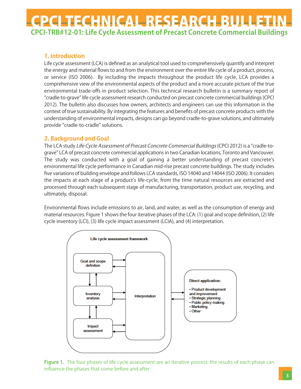### **1. Introduction**

Life cycle assessment (LCA) is defined as an analytical tool used to comprehensively quantify and interpret the energy and material flows to and from the environment over the entire life cycle of a product, process, or service (ISO 2006). By including the impacts throughout the product life cycle, LCA provides a comprehensive view of the environmental aspects of the product and a more accurate picture of the true environmental trade-offs in product selection. This technical research bulletin is a summary report of "cradle-to-grave" life cycle assessment research conducted on precast concrete commercial buildings (CPCI 2012). The bulletin also discusses how owners, architects and engineers can use this information in the context of true sustainability. By integrating the features and benefits of precast concrete products with the understanding of environmental impacts, designs can go beyond cradle-to-grave solutions, and ultimately provide "cradle-to-cradle" solutions.

### **2. Background and Goal**

The LCA study Life Cycle Assessment of Precast Concrete Commercial Buildings (CPCI 2012) is a "cradle-tograve" LCA of precast concrete commercial applications in two Canadian locations, Toronto and Vancouver. The study was conducted with a goal of gaining a better understanding of precast concreteʻs environmental life cycle performance in Canadian mid-rise precast concrete buildings. The study includes five variations of building envelope and follows LCA standards, ISO 14040 and 14044 (ISO 2006). It considers the impacts at each stage of a product's life-cycle, from the time natural resources are extracted and processed through each subsequent stage of manufacturing, transportation, product use, recycling, and ultimately, disposal.

Environmental flows include emissions to air, land, and water, as well as the consumption of energy and material resources. Figure 1 shows the four iterative phases of the LCA: (1) goal and scope definition, (2) life cycle inventory (LCI), (3) life cycle impact assessment (LCIA), and (4) interpretation.



**Figure 1.** The four phases of life cycle assessment are an iterative process: the results of each phase can influence the phases that come before and after.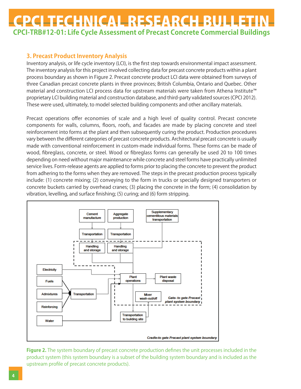### **3. Precast Product Inventory Analysis**

Inventory analysis, or life cycle inventory (LCI), is the first step towards environmental impact assessment. The inventory analysis for this project involved collecting data for precast concrete products within a plant process boundary as shown in Figure 2. Precast concrete product LCI data were obtained from surveys of three Canadian precast concrete plants in three provinces; British Columbia, Ontario and Quebec. Other material and construction LCI process data for upstream materials were taken from Athena Institute™ proprietary LCI building material and construction database, and third-party validated sources (CPCI 2012). These were used, ultimately, to model selected building components and other ancillary materials.

Precast operations offer economies of scale and a high level of quality control. Precast concrete components for walls, columns, floors, roofs, and facades are made by placing concrete and steel reinforcement into forms at the plant and then subsequently curing the product. Production procedures vary between the different categories of precast concrete products. Architectural precast concrete is usually made with conventional reinforcement in custom-made individual forms. These forms can be made of wood, fibreglass, concrete, or steel. Wood or fibreglass forms can generally be used 20 to 100 times depending on need without major maintenance while concrete and steel forms have practically unlimited service lives. Form-release agents are applied to forms prior to placing the concrete to prevent the product from adhering to the forms when they are removed. The steps in the precast production process typically include: (1) concrete mixing; (2) conveying to the form in trucks or specially designed transporters or concrete buckets carried by overhead cranes; (3) placing the concrete in the form; (4) consolidation by vibration, levelling, and surface finishing; (5) curing; and (6) form stripping.



**Figure 2.** The system boundary of precast concrete production defines the unit processes included in the product system (this system boundary is a subset of the building system boundary and is included as the upstream profile of precast concrete products).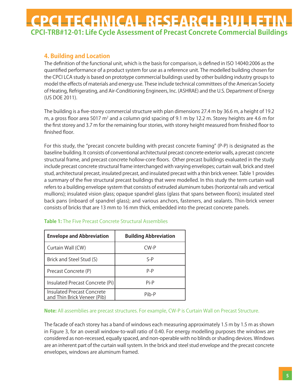### **4. Building and Location**

The definition of the functional unit, which is the basis for comparison, is defined in ISO 14040:2006 as the quantified performance of a product system for use as a reference unit. The modelled building chosen for the CPCI LCA study is based on prototype commercial buildings used by other building industry groups to model the effects of materials and energy use. These include technical committees of the American Society of Heating, Refrigerating, and Air-Conditioning Engineers, Inc. (ASHRAE) and the U.S. Department of Energy (US DOE 2011).

The building is a five-storey commercial structure with plan dimensions 27.4 m by 36.6 m, a height of 19.2 m, a gross floor area 5017 m<sup>2</sup> and a column grid spacing of 9.1 m by 12.2 m. Storey heights are 4.6 m for the first storey and 3.7 m for the remaining four stories, with storey height measured from finished floor to finished floor.

For this study, the "precast concrete building with precast concrete framing" (P-P) is designated as the baseline building. It consists of conventional architectural precast concrete exterior walls, a precast concrete structural frame, and precast concrete hollow-core floors. Other precast buildings evaluated in the study include precast concrete structural frame interchanged with varying envelopes; curtain wall, brick and steel stud, architectural precast, insulated precast, and insulated precast with a thin brick veneer. Table 1 provides a summary of the five structural precast buildings that were modelled. In this study the term curtain wall refers to a building envelope system that consists of extruded aluminum tubes (horizontal rails and vertical mullions); insulated vision glass; opaque spandrel glass (glass that spans between floors); insulated steel back pans (inboard of spandrel glass); and various anchors, fasteners, and sealants. Thin-brick veneer consists of bricks that are 13 mm to 16 mm thick, embedded into the precast concrete panels.

| <b>Envelope and Abbreviation</b>                          | <b>Building Abbreviation</b> |
|-----------------------------------------------------------|------------------------------|
| Curtain Wall (CW)                                         | $CW-P$                       |
| Brick and Steel Stud (S)                                  | $S-P$                        |
| Precast Concrete (P)                                      | $P - P$                      |
| Insulated Precast Concrete (Pi)                           | Pi-P                         |
| Insulated Precast Concrete<br>and Thin Brick Veneer (Pib) | Pih-P                        |

### **Table 1:** The Five Precast Concrete Structural Assemblies

#### **Note:** All assemblies are precast structures. For example, CW-P is Curtain Wall on Precast Structure.

The facade of each storey has a band of windows each measuring approximately 1.5 m by 1.5 m as shown in Figure 3, for an overall window-to-wall ratio of 0.40. For energy modelling purposes the windows are considered as non-recessed, equally spaced, and non-operable with no blinds or shading devices. Windows are an inherent part of the curtain wall system. In the brick and steel stud envelope and the precast concrete envelopes, windows are aluminum framed.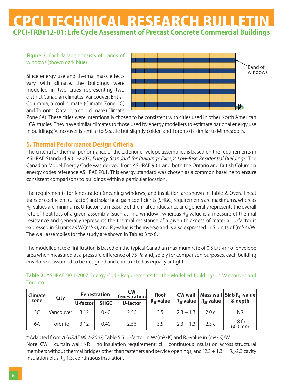**Figure 3.** Each façade consists of bands of windows (shown dark blue).

Since energy use and thermal mass effects vary with climate, the buildings were modelled in two cities representing two distinct Canadian climates: Vancouver, British Columbia, a cool climate (Climate Zone 5C) and Toronto, Ontario, a cold climate (Climate



Zone 6A). These cities were intentionally chosen to be consistent with cities used in other North American LCA studies. They have similar climates to those used by energy modellers to estimate national energy use in buildings; Vancouver is similar to Seattle but slightly colder, and Toronto is similar to Minneapolis.

### **5. Thermal Performance Design Criteria**

The criteria for thermal performance of the exterior envelope assemblies is based on the requirements in ASHRAE Standard 90.1-2007, Energy Standard for Buildings Except Low-Rise Residential Buildings. The Canadian Model Energy Code was derived from ASHRAE 90.1 and both the Ontario and British Columbia energy codes reference ASHRAE 90.1. This energy standard was chosen as a common baseline to ensure consistent comparisons to buildings within a particular location.

The requirements for fenestration (meaning windows) and insulation are shown in Table 2. Overall heat transfer coefficient (U-factor) and solar heat gain coefficients (SHGC) requirements are maximums, whereas  $R_{\rm si}$ -values are minimums. U-factor is a measure of thermal conductance and generally represents the overall rate of heat loss of a given assembly (such as in a window), whereas R<sub>SI</sub>-value is a measure of thermal resistance and generally represents the thermal resistance of a given thickness of material. U-factor is expressed in SI units as W/(m<sup>2</sup>•K), and R<sub>SI</sub>-value is the inverse and is also expressed in SI units of (m<sup>2</sup>•K)/W. The wall assemblies for the study are shown in Tables 3 to 6.

The modelled rate of infiltration is based on the typical Canadian maximum rate of 0.5 L/s  $\cdot$ m<sup>2</sup> of envelope area when measured at a pressure difference of 75 Pa and, solely for comparison purposes, each building envelope is assumed to be designed and constructed as equally airtight.

| Toronto                |             |      |                     |                           |             |                     |                   |                                                       |
|------------------------|-------------|------|---------------------|---------------------------|-------------|---------------------|-------------------|-------------------------------------------------------|
| <b>Climate</b><br>zone | <b>City</b> |      | <b>Fenestration</b> | <b>CW</b><br>fenestration | <b>Roof</b> | <b>CW wall</b>      |                   | $\vert$ Mass wall $\vert$ Slab R <sub>si</sub> -value |
|                        |             |      | U-factor            | <b>SHGC</b>               | U-factor    | $R_{\rm cl}$ -value |                   | $R_{\rm si}$ -value   $R_{\rm si}$ -value             |
| 5C                     | Vancouver   | 3.12 | 0.40                | 2.56                      | 3.5         | $2.3 + 1.3$         | 2.0 <sub>ci</sub> | <b>NR</b>                                             |
| 6A                     | Toronto     | 3.12 | 0.40                | 2.56                      | 3.5         | $2.3 + 1.3$         | 2.3 ci            | $1.8$ for<br>600 mm                                   |

**Table 2.** ASHRAE 90.1-2007 Energy Code Requirements for the Modelled Buildings in Vancouver and

\* Adapted from ASHRAE 90.1-2007, Table 5.5. U-factor in W/(m<sup>2</sup> • K) and R<sub>SI</sub>-value in (m<sup>2</sup> • K)/W. Note:  $CW =$  curtain wall; NR = no insulation requirement;  $ci =$  continuous insulation across structural

members without thermal bridges other than fasteners and service openings; and "2.3 + 1.3" =  $R<sub>ST</sub>$ -2.3 cavity insulation plus  $R_{SI}$ -1.3. continuous insulation.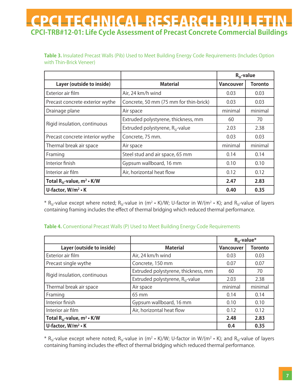Table 3. Insulated Precast Walls (Pib) Used to Meet Building Energy Code Requirements (Includes Option with Thin-Brick Veneer)

|                                        |                                           | $R_{\rm SI}$ -value |                |
|----------------------------------------|-------------------------------------------|---------------------|----------------|
| Layer (outside to inside)              | <b>Material</b>                           | <b>Vancouver</b>    | <b>Toronto</b> |
| Exterior air film                      | Air, 24 km/h wind                         | 0.03                | 0.03           |
| Precast concrete exterior wythe        | Concrete, 50 mm (75 mm for thin-brick)    | 0.03                | 0.03           |
| Drainage plane                         | Air space                                 | minimal             | minimal        |
|                                        | Extruded polystyrene, thickness, mm       | 60                  | 70             |
| Rigid insulation, continuous           | Extruded polystyrene, $R_{\rm SI}$ -value | 2.03                | 2.38           |
| Precast concrete interior wythe        | Concrete, 75 mm.                          | 0.03                | 0.03           |
| Thermal break air space                | Air space                                 | minimal             | minimal        |
| Framing                                | Steel stud and air space, 65 mm           | 0.14                | 0.14           |
| Interior finish                        | Gypsum wallboard, 16 mm                   | 0.10                | 0.10           |
| Interior air film                      | Air, horizontal heat flow                 | 0.12                | 0.12           |
| Total $R_{si}$ -value, $m^2 \cdot K/W$ |                                           |                     | 2.83           |
| U-factor, $W/m^2 \cdot K$              |                                           |                     | 0.35           |

\* R<sub>SI</sub>-value except where noted; R<sub>SI</sub>-value in (m<sup>2</sup> • K)/W; U-factor in W/(m<sup>2</sup> • K); and R<sub>SI</sub>-value of layers containing framing includes the effect of thermal bridging which reduced thermal performance.

### **Table 4.** Conventional Precast Walls (P) Used to Meet Building Energy Code Requirements

|                                        |                                       | $R_{SI}$ -value* |                |
|----------------------------------------|---------------------------------------|------------------|----------------|
| Layer (outside to inside)              | <b>Material</b>                       | <b>Vancouver</b> | <b>Toronto</b> |
| Exterior air film                      | Air, 24 km/h wind                     | 0.03             | 0.03           |
| Precast single wythe                   | Concrete, 150 mm                      | 0.07             | 0.07           |
|                                        | Extruded polystyrene, thickness, mm   | 60               | 70             |
| Rigid insulation, continuous           | Extruded polystyrene, $R_{SI}$ -value | 2.03             | 2.38           |
| Thermal break air space                | Air space                             | minimal          | minimal        |
| Framing                                | $65 \text{ mm}$                       | 0.14             | 0.14           |
| Interior finish                        | Gypsum wallboard, 16 mm               | 0.10             | 0.10           |
| Interior air film                      | Air, horizontal heat flow             | 0.12             | 0.12           |
| Total $R_{si}$ -value, $m^2 \cdot K/W$ |                                       |                  | 2.83           |
| U-factor, $W/m^2 \cdot K$              | 0.4                                   | 0.35             |                |

\* R<sub>SI</sub>-value except where noted; R<sub>SI</sub>-value in (m<sup>2</sup> • K)/W; U-factor in W/(m<sup>2</sup> • K); and R<sub>SI</sub>-value of layers containing framing includes the effect of thermal bridging which reduced thermal performance.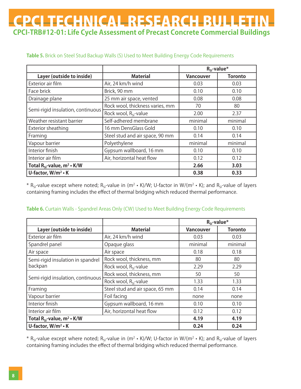|                                        |                                   |                  | $R_{SI}$ -value* |
|----------------------------------------|-----------------------------------|------------------|------------------|
| Layer (outside to inside)              | <b>Material</b>                   | <b>Vancouver</b> | <b>Toronto</b>   |
| Exterior air film                      | Air, 24 km/h wind                 | 0.03             | 0.03             |
| Face brick                             | Brick, 90 mm                      | 0.10             | 0.10             |
| Drainage plane                         | 25 mm air space, vented           | 0.08             | 0.08             |
| Semi-rigid insulation, continuous      | Rock wool, thickness varies, mm   | 70               | 80               |
|                                        | Rock wool, R <sub>si</sub> -value | 2.00             | 2.37             |
| Weather resistant barrier              | Self-adhered membrane             | minimal          | minimal          |
| Exterior sheathing                     | 16 mm DensGlass Gold              | 0.10             | 0.10             |
| Framing                                | Steel stud and air space, 90 mm   | 0.14             | 0.14             |
| Vapour barrier                         | Polyethylene                      | minimal          | minimal          |
| Interior finish                        | Gypsum wallboard, 16 mm           | 0.10             | 0.10             |
| Interior air film                      | Air, horizontal heat flow         | 0.12             | 0.12             |
| Total $R_{si}$ -value, $m^2 \cdot K/W$ | 2.66                              | 3.03             |                  |
| U-factor, W/m <sup>2</sup> · K         | 0.38                              | 0.33             |                  |

### **Table 5.** Brick on Steel Stud Backup Walls (S) Used to Meet Building Energy Code Requirements

\* R<sub>SI</sub>-value except where noted; R<sub>SI</sub>-value in (m<sup>2</sup> • K)/W; U-factor in W/(m<sup>2</sup> • K); and R<sub>SI</sub>-value of layers containing framing includes the effect of thermal bridging which reduced thermal performance.

#### **Table 6.** Curtain Walls - Spandrel Areas Only (CW) Used to Meet Building Energy Code Requirements

|                                        |                                   |                  | $R_{SI}$ -value* |
|----------------------------------------|-----------------------------------|------------------|------------------|
| Layer (outside to inside)              | <b>Material</b>                   | <b>Vancouver</b> | <b>Toronto</b>   |
| Exterior air film                      | Air, 24 km/h wind                 | 0.03             | 0.03             |
| Spandrel panel                         | Opaque glass                      | minimal          | minimal          |
| Air space                              | Air space                         | 0.18             | 0.18             |
| Semi-rigid insulation in spandrel      | Rock wool, thickness, mm          | 80               | 80               |
| backpan                                | Rock wool, R <sub>si</sub> -value | 2.29             | 2.29             |
| Semi-rigid insulation, continuous      | Rock wool, thickness, mm          | 50               | 50               |
|                                        | Rock wool, R <sub>si</sub> -value | 1.33             | 1.33             |
| Framing                                | Steel stud and air space, 65 mm   | 0.14             | 0.14             |
| Vapour barrier                         | Foil facing                       | none             | none             |
| Interior finish                        | Gypsum wallboard, 16 mm           | 0.10             | 0.10             |
| Interior air film                      | Air, horizontal heat flow         | 0.12             | 0.12             |
| Total $R_{si}$ -value, $m^2 \cdot K/W$ | 4.19                              | 4.19             |                  |
| U-factor, W/m <sup>2</sup> · K         | 0.24                              | 0.24             |                  |

\* R<sub>SI</sub>-value except where noted; R<sub>SI</sub>-value in (m<sup>2</sup> • K)/W; U-factor in W/(m<sup>2</sup> • K); and R<sub>SI</sub>-value of layers containing framing includes the effect of thermal bridging which reduced thermal performance.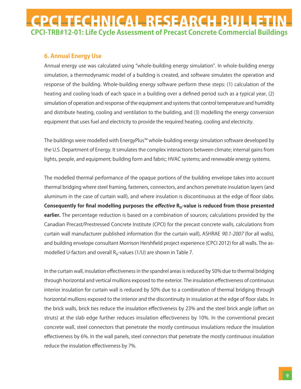### **6. Annual Energy Use**

Annual energy use was calculated using "whole-building energy simulation". In whole-building energy simulation, a thermodynamic model of a building is created, and software simulates the operation and response of the building. Whole-building energy software perform these steps: (1) calculation of the heating and cooling loads of each space in a building over a defined period such as a typical year, (2) simulation of operation and response of the equipment and systems that control temperature and humidity and distribute heating, cooling and ventilation to the building, and (3) modelling the energy conversion equipment that uses fuel and electricity to provide the required heating, cooling and electricity.

The buildings were modelled with EnergyPlus™ whole-building energy simulation software developed by the U.S. Department of Energy. It simulates the complex interactions between climate; internal gains from lights, people, and equipment; building form and fabric; HVAC systems; and renewable energy systems.

The modelled thermal performance of the opaque portions of the building envelope takes into account thermal bridging where steel framing, fasteners, connectors, and anchors penetrate insulation layers (and aluminum in the case of curtain wall), and where insulation is discontinuous at the edge of floor slabs. Consequently for final modelling purposes the *effective* R<sub>SI</sub>-value is reduced from those presented **earlier.** The percentage reduction is based on a combination of sources; calculations provided by the Canadian Precast/Prestressed Concrete Institute (CPCI) for the precast concrete walls, calculations from curtain wall manufacturer published information (for the curtain wall), ASHRAE 90.1-2007 (for all walls), and building envelope consultant Morrison Hershfield project experience (CPCI 2012) for all walls. The asmodelled U-factors and overall  $R<sub>q</sub>$ -values (1/U) are shown in Table 7.

In the curtain wall, insulation effectiveness in the spandrel areas is reduced by 50% due to thermal bridging through horizontal and vertical mullions exposed to the exterior. The insulation effectiveness of continuous interior insulation for curtain wall is reduced by 50% due to a combination of thermal bridging through horizontal mullions exposed to the interior and the discontinuity in insulation at the edge of floor slabs. In the brick walls, brick ties reduce the insulation effectiveness by 23% and the steel brick angle (offset on struts) at the slab edge further reduces insulation effectiveness by 10%. In the conventional precast concrete wall, steel connectors that penetrate the mostly continuous insulations reduce the insulation effectiveness by 6%. In the wall panels, steel connectors that penetrate the mostly continuous insulation reduce the insulation effectiveness by 7%.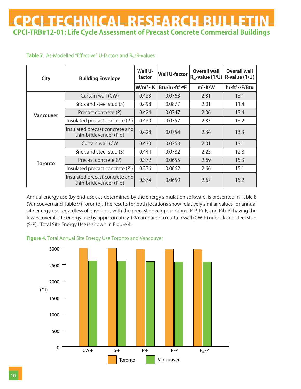### **Table 7**. As-Modelled "Effective" U-factors and  $R_{SI}/R$ -values

| <b>City</b>      | <b>Building Envelope</b>                                  | Wall U-<br>factor | <b>Wall U-factor</b>       | <b>Overall wall</b><br>$ R_{\rm SI}$ -value (1/U) | <b>Overall wall</b><br>$R$ -value $(1/U)$ |
|------------------|-----------------------------------------------------------|-------------------|----------------------------|---------------------------------------------------|-------------------------------------------|
|                  |                                                           | $W/m^2 \cdot K$   | Btu/hr•ft <sup>2</sup> •°F | $m^2$ -K/W                                        | hr•ft <sup>2</sup> •°F/Btu                |
|                  | Curtain wall (CW)                                         | 0.433             | 0.0763                     | 2.31                                              | 13.1                                      |
|                  | Brick and steel stud (S)                                  | 0.498             | 0.0877                     | 2.01                                              | 11.4                                      |
| <b>Vancouver</b> | Precast concrete (P)                                      | 0.424             | 0.0747                     | 2.36                                              | 13.4                                      |
|                  | Insulated precast concrete (Pi)                           | 0.430             | 0.0757                     | 2.33                                              | 13.2                                      |
|                  | Insulated precast concrete and<br>thin-brick veneer (Pib) | 0.428             | 0.0754                     | 2.34                                              | 13.3                                      |
|                  | Curtain wall (CW                                          | 0.433             | 0.0763                     | 2.31                                              | 13.1                                      |
|                  | Brick and steel stud (S)                                  | 0.444             | 0.0782                     | 2.25                                              | 12.8                                      |
| <b>Toronto</b>   | Precast concrete (P)                                      | 0.372             | 0.0655                     | 2.69                                              | 15.3                                      |
|                  | Insulated precast concrete (Pi)                           | 0.376             | 0.0662                     | 2.66                                              | 15.1                                      |
|                  | Insulated precast concrete and<br>thin-brick veneer (Pib) | 0.374             | 0.0659                     | 2.67                                              | 15.2                                      |

Annual energy use (by end-use), as determined by the energy simulation software, is presented in Table 8 (Vancouver) and Table 9 (Toronto). The results for both locations show relatively similar values for annual site energy use regardless of envelope, with the precast envelope options (P-P, Pi-P, and Pib-P) having the lowest overall site energy use by approximately 1% compared to curtain wall (CW-P) or brick and steel stud (S-P). Total Site Energy Use is shown in Figure 4.



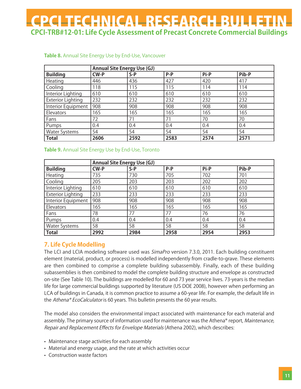|                          | <b>Annual Site Energy Use (GJ)</b> |       |         |      |       |  |
|--------------------------|------------------------------------|-------|---------|------|-------|--|
| <b>Building</b>          | <b>CW-P</b>                        | $S-P$ | $P - P$ | Pi-P | Pib-P |  |
| Heating                  | 446                                | 436   | 427     | 420  | 417   |  |
| Cooling                  | 118                                | 115   | 115     | 114  | 114   |  |
| Interior Lighting        | 610                                | 610   | 610     | 610  | 610   |  |
| <b>Exterior Lighting</b> | 232                                | 232   | 232     | 232  | 232   |  |
| Interior Equipment       | 908                                | 908   | 908     | 908  | 908   |  |
| Elevators                | 165                                | 165   | 165     | 165  | 165   |  |
| Fans                     | 72                                 | 71    | 71      | 70   | 70    |  |
| Pumps                    | 0.4                                | 0.4   | 0.4     | 0.4  | 0.4   |  |
| <b>Water Systems</b>     | 54                                 | 54    | 54      | 54   | 54    |  |
| <b>Total</b>             | 2606                               | 2592  | 2583    | 2574 | 2571  |  |

### **Table 8.** Annual Site Energy Use by End-Use, Vancouver

#### **Table 9.** Annual Site Energy Use by End-Use, Toronto

|                          | <b>Annual Site Energy Use (GJ)</b> |       |       |      |       |  |
|--------------------------|------------------------------------|-------|-------|------|-------|--|
| <b>Building</b>          | <b>CW-P</b>                        | $S-P$ | $P-P$ | Pi-P | Pib-P |  |
| Heating                  | 735                                | 730   | 705   | 702  | 701   |  |
| Cooling                  | 205                                | 203   | 203   | 202  | 202   |  |
| Interior Lighting        | 610                                | 610   | 610   | 610  | 610   |  |
| <b>Exterior Lighting</b> | 233                                | 233   | 233   | 233  | 233   |  |
| Interior Equipment       | 908                                | 908   | 908   | 908  | 908   |  |
| Elevators                | 165                                | 165   | 165   | 165  | 165   |  |
| Fans                     | 78                                 | 77    | 77    | 76   | 76    |  |
| Pumps                    | 0.4                                | 0.4   | 0.4   | 0.4  | 0.4   |  |
| <b>Water Systems</b>     | 58                                 | 58    | 58    | 58   | 58    |  |
| Total                    | 2992                               | 2984  | 2958  | 2954 | 2953  |  |

### **7. Life Cycle Modelling**

The LCI and LCIA modeling software used was *SimaPro* version 7.3.0, 2011. Each building constituent element (material, product, or process) is modelled independently from cradle-to-grave. These elements are then combined to comprise a complete building subassembly. Finally, each of these building subassemblies is then combined to model the complete building structure and envelope as constructed on-site (See Table 10). The buildings are modelled for 60 and 73 year service lives. 73-years is the median life for large commercial buildings supported by literature (US DOE 2008), however when performing an LCA of buildings in Canada, it is common practice to assume a 60-year life. For example, the default life in the Athena® EcoCalculator is 60 years. This bulletin presents the 60 year results.

The model also considers the environmental impact associated with maintenance for each material and assembly. The primary source of information used for maintenance was the Athena® report, Maintenance, Repair and Replacement Effects for Envelope Materials (Athena 2002), which describes:

- Maintenance stage activities for each assembly
- Material and energy usage, and the rate at which activities occur
- Construction waste factors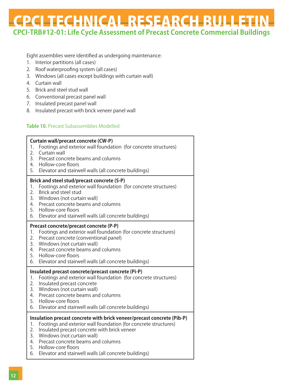Eight assemblies were identified as undergoing maintenance:

- 1. Interior partitions (all cases)
- 2. Roof waterproofing system (all cases)
- 3. Windows (all cases except buildings with curtain wall)
- 4. Curtain wall
- 5. Brick and steel stud wall
- 6. Conventional precast panel wall
- 7. Insulated precast panel wall
- 8. Insulated precast with brick veneer panel wall

### **Table 10.** Precast Subassemblies Modelled

| 1.<br>2.<br>3.<br>4.<br>5.       | <b>Curtain wall/precast concrete (CW-P)</b><br>Footings and exterior wall foundation (for concrete structures)<br>Curtain wall<br>Precast concrete beams and columns<br>Hollow-core floors<br>Elevator and stairwell walls (all concrete buildings)                                                                                          |
|----------------------------------|----------------------------------------------------------------------------------------------------------------------------------------------------------------------------------------------------------------------------------------------------------------------------------------------------------------------------------------------|
| 1.<br>2.<br>3.<br>4.<br>5.<br>6. | Brick and steel stud/precast concrete (S-P)<br>Footings and exterior wall foundation (for concrete structures)<br><b>Brick and steel stud</b><br>Windows (not curtain wall)<br>Precast concrete beams and columns<br>Hollow-core floors<br>Elevator and stairwell walls (all concrete buildings)                                             |
| 1.<br>2.<br>3.<br>4.<br>5.<br>6. | Precast concrete/precast concrete (P-P)<br>Footings and exterior wall foundation (for concrete structures)<br>Precast concrete (conventional panel)<br>Windows (not curtain wall)<br>Precast concrete beams and columns<br>Hollow-core floors<br>Elevator and stairwell walls (all concrete buildings)                                       |
| 1.<br>2.<br>3.<br>4.<br>5.<br>6. | Insulated precast concrete/precast concrete (Pi-P)<br>Footings and exterior wall foundation (for concrete structures)<br>Insulated precast concrete<br>Windows (not curtain wall)<br>Precast concrete beams and columns<br>Hollow-core floors<br>Elevator and stairwell walls (all concrete buildings)                                       |
| 1.<br>2.<br>3.<br>4.<br>5.<br>6. | Insulation precast concrete with brick veneer/precast concrete (Pib-P)<br>Footings and exterior wall foundation (for concrete structures)<br>Insulated precast concrete with brick veneer<br>Windows (not curtain wall)<br>Precast concrete beams and columns<br>Hollow-core floors<br>Elevator and stairwell walls (all concrete buildings) |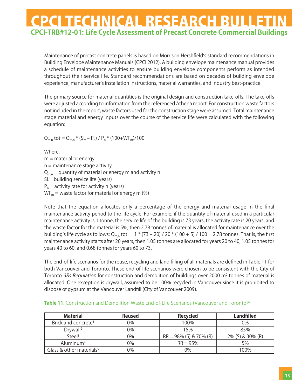Maintenance of precast concrete panels is based on Morrison Hershfieldʻs standard recommendations in Building Envelope Maintenance Manuals (CPCI 2012). A building envelope maintenance manual provides a schedule of maintenance activities to ensure building envelope components perform as intended throughout their service life. Standard recommendations are based on decades of building envelope experience, manufacturer's installation instructions, material warranties, and industry best-practice.

The primary source for material quantities is the original design and construction take-offs. The take-offs were adjusted according to information from the referenced Athena report. For construction waste factors not included in the report, waste factors used for the construction stage were assumed. Total maintenance stage material and energy inputs over the course of the service life were calculated with the following equation:

$$
Q_{m,n}
$$
 tot =  $Q_{m,n}$  \* (SL – P<sub>n</sub>) / P<sub>n</sub> \* (100+WF<sub>m</sub>)/100

Where,  $m =$  material or energy  $n =$  maintenance stage activity  $Q_{mn}$  = quantity of material or energy m and activity n SL= building service life (years)  $P_n$  = activity rate for activity n (years)  $WF_m$  = waste factor for material or energy m (%)

Note that the equation allocates only a percentage of the energy and material usage in the final maintenance activity period to the life cycle. For example, if the quantity of material used in a particular maintenance activity is 1 tonne, the service life of the building is 73 years, the activity rate is 20 years, and the waste factor for the material is 5%, then 2.78 tonnes of material is allocated for maintenance over the building's life cycle as follows:  $Q_{m,n}$  tot = 1  $*(73 - 20)$  / 20  $*(100 + 5)$  / 100 = 2.78 tonnes. That is, the first maintenance activity starts after 20 years, then 1.05 tonnes are allocated for years 20 to 40, 1.05 tonnes for years 40 to 60, and 0.68 tonnes for years 60 to 73.

The end-of-life scenarios for the reuse, recycling and land filling of all materials are defined in Table 11 for both Vancouver and Toronto. These end-of-life scenarios were chosen to be consistent with the City of Toronto 3Rs Regulation for construction and demolition of buildings over 2000 m<sup>2</sup> tonnes of material is allocated. One exception is drywall, assumed to be 100% recycled in Vancouver since it is prohibited to dispose of gypsum at the Vancouver Landfill (City of Vancouver 2009).

| <b>Material</b>                      | <b>Reused</b> | <b>Recycled</b>           | <b>Landfilled</b> |
|--------------------------------------|---------------|---------------------------|-------------------|
| Brick and concrete <sup>1</sup>      | 0%            | 100%                      | 0%                |
| Drywall <sup>2</sup>                 | 0%            | 15%                       | 85%               |
| Stee <sup>3</sup>                    | 0%            | $RR = 98\%$ (S) & 70% (R) | 2% (S) & 30% (R)  |
| Aluminum <sup>4</sup>                | 0%            | $RR = 95%$                | 5%                |
| Glass & other materials <sup>5</sup> | 0%            | 0%                        | 100%              |

|  |  | Table 11. Construction and Demolition Waste End-of-Life Scenarios (Vancouver and Toronto)* |  |
|--|--|--------------------------------------------------------------------------------------------|--|
|  |  |                                                                                            |  |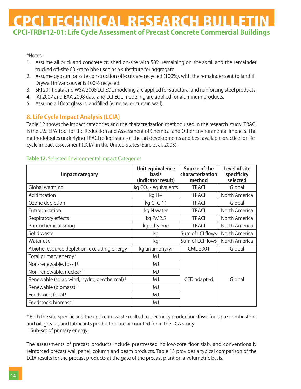\*Notes:

- 1. Assume all brick and concrete crushed on-site with 50% remaining on site as fill and the remainder trucked off-site 60 km to bbe used as a substitute for aggregate.
- 2. Assume gypsum on-site construction off-cuts are recycled (100%), with the remainder sent to landfill. Drywall in Vancouver is 100% recycled.
- 3. SRI 2011 data and WSA 2008 LCI EOL modeling are applied for structural and reinforcing steel products.
- 4. IAI 2007 and EAA 2008 data and LCI EOL modeling are applied for aluminum products.
- 5. Assume all float glass is landfilled (window or curtain wall).

### **8. Life Cycle Impact Analysis (LCIA)**

Table 12 shows the impact categories and the characterization method used in the research study. TRACI is the U.S. EPA Tool for the Reduction and Assessment of Chemical and Other Environmental Impacts. The methodologies underlying TRACI reflect state-of-the-art developments and best available practice for lifecycle impact assessment (LCIA) in the United States (Bare et al, 2003).

| <b>Impact category</b>                                  | Unit equivalence<br><b>basis</b><br>(indicator result) | Source of the<br>characterization<br>method | <b>Level of site</b><br>specificity<br>selected |
|---------------------------------------------------------|--------------------------------------------------------|---------------------------------------------|-------------------------------------------------|
| Global warming                                          | kg $CO2$ - equivalents                                 | <b>TRACI</b>                                | Global                                          |
| Acidification                                           | kg H+                                                  | <b>TRACI</b>                                | North America                                   |
| Ozone depletion                                         | kg CFC-11                                              | <b>TRACI</b>                                | Global                                          |
| Eutrophication                                          | kg N water                                             | <b>TRACI</b>                                | North America                                   |
| Respiratory effects                                     | kg PM2.5                                               | <b>TRACI</b>                                | North America                                   |
| Photochemical smog                                      | kg ethylene                                            | <b>TRACI</b>                                | North America                                   |
| Solid waste                                             | kg                                                     | Sum of LCI flows                            | North America                                   |
| Water use                                               | kg                                                     | Sum of LCI flows                            | North America                                   |
| Abiotic resource depletion, excluding energy            | kg antimony/yr                                         | <b>CML 2001</b>                             | Global                                          |
| Total primary energy*                                   | MJ                                                     |                                             |                                                 |
| Non-renewable, fossil <sup>+</sup>                      | MJ                                                     |                                             |                                                 |
| Non-renewable, nuclear <sup>+</sup>                     | MJ                                                     |                                             |                                                 |
| Renewable (solar, wind, hydro, geothermal) <sup>+</sup> | MJ                                                     | CED adapted                                 | Global                                          |
| Renewable (biomass) <sup>+</sup>                        | MJ                                                     |                                             |                                                 |
| Feedstock, fossil <sup>+</sup>                          | MJ                                                     |                                             |                                                 |
| Feedstock, biomass <sup>+</sup>                         | MJ                                                     |                                             |                                                 |

### **Table 12.** Selected Environmental Impact Categories

\* Both the site-specific and the upstream waste realted to electricity production; fossil fuels pre-combustion; and oil, grease, and lubricants production are accounted for in the LCA study.

† Sub-set of primary energy.

The assessments of precast products include prestressed hollow-core floor slab, and conventionally reinforced precast wall panel, column and beam products. Table 13 provides a typical comparison of the LCIA results for the precast products at the gate of the precast plant on a volumetric basis.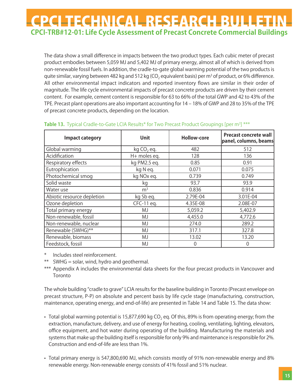The data show a small difference in impacts between the two product types. Each cubic meter of precast product embodies between 5,059 MJ and 5,402 MJ of primary energy, almost all of which is derived from non-renewable fossil fuels. In addition, the cradle-to-gate global warming potential of the two products is quite similar, varying between 482 kg and 512 kg (CO<sub>2</sub> equivalent basis) per m<sup>3</sup> of product, or 6% difference. All other environmental impact indicators and reported inventory flows are similar in their order of magnitude. The life cycle environmental impacts of precast concrete products are driven by their cement content. For example, cement content is responsible for 63 to 66% of the total GWP and 42 to 43% of the TPE. Precast plant operations are also important accounting for  $14 - 18%$  of GWP and 28 to 35% of the TPE of precast concrete products, depending on the location.

| <b>Unit</b><br><b>Impact category</b> |                | <b>Hollow-core</b> | <b>Precast concrete wall</b><br>panel, columns, beams |
|---------------------------------------|----------------|--------------------|-------------------------------------------------------|
| Global warming                        | $kg CO$ , eq.  | 482                | 512                                                   |
| Acidification                         | H+ moles eq.   | 128                | 136                                                   |
| Respiratory effects                   | kg PM2.5 eg.   | 0.85               | 0.91                                                  |
| Eutrophication                        | kg Neg.        | 0.071              | 0.075                                                 |
| Photochemical smog                    | kg NOx eq.     | 0.739              | 0.749                                                 |
| Solid waste                           | kg             | 93.7               | 93.9                                                  |
| Water use                             | m <sup>3</sup> | 0.836              | 0.914                                                 |
| Abiotic resource depletion            | kg Sb eq.      | 2.79E-04           | 3.01E-04                                              |
| Ozone depletion                       | CFC-11 eq.     | 4.35E-08           | 2.08E-07                                              |
| Total primary energy                  | MJ             | 5,059.2            | 5,402.9                                               |
| Non-renewable, fossil                 | MJ             | 4,455.0            | 4,772.6                                               |
| Non-renewable, nuclear                | MJ             | 274.0              | 289.2                                                 |
| Renewable (SWHG)**                    | MJ             | 317.1              | 327.8                                                 |
| Renewable, biomass                    | MJ             | 13.02              | 13.20                                                 |
| Feedstock, fossil                     | MJ             | 0                  | 0                                                     |

#### Table 13. Typical Cradle-to-Gate LCIA Results\* for Two Precast Product Groupings [per m<sup>3</sup>] \*\*\*

- Includes steel reinforcement.
- \*\* SWHG = solar, wind, hydro and geothermal.
- \*\*\* Appendix A includes the environmental data sheets for the four precast products in Vancouver and **Toronto**

The whole building "cradle to grave" LCIA results for the baseline building in Toronto (Precast envelope on precast structure, P-P) on absolute and percent basis by life cycle stage (manufacturing, construction, maintenance, operating energy, and end-of-life) are presented in Table 14 and Table 15. The data show:

- Total global warming potential is 15,877,690 kg  $CO<sub>2</sub>$  eq. Of this, 89% is from operating energy; from the extraction, manufacture, delivery, and use of energy for heating, cooling, ventilating, lighting, elevators, office equipment, and hot water during operating of the building. Manufacturing the materials and systems that make up the building itself is responsible for only 9% and maintenance is responsible for 2%. Construction and end-of-life are less than 1%.
- Total primary energy is 547,800,690 MJ, which consists mostly of 91% non-renewable energy and 8% renewable energy. Non-renewable energy consists of 41% fossil and 51% nuclear.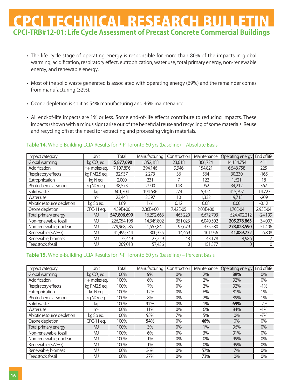- The life cycle stage of operating energy is responsible for more than 80% of the impacts in global warming, acidification, respiratory effect, eutrophication, water use, total primary energy, non-renewable energy, and renewable energy.
- Most of the solid waste generated is associated with operating energy (69%) and the remainder comes from manufacturing (32%).
- Ozone depletion is split as 54% manufacturing and 46% maintenance.
- All end-of-life impacts are 1% or less. Some end-of-life effects contribute to reducing impacts. These impacts (shown with a minus sign) arise out of the beneficial reuse and recycling of some materials. Reuse and recycling offset the need for extracting and processing virgin materials.

| Impact category            | Unit                   | Total        | Manufacturing | Construction | Maintenance  | Operating energy | End of life    |
|----------------------------|------------------------|--------------|---------------|--------------|--------------|------------------|----------------|
| Global warming             | kg CO <sub>2</sub> eq. | 15,877,690   | 1,352,183     | 23,618       | 366.724      | 14,134,754       | 411            |
| Acidification              | H+ moles eq.           | 7.107.896    | 394,146       | 9,946        | 154.821      | 6,548,758        | 225            |
| Respiratory effects        | kg PM2.5 eg.           | 32,937       | 2,273         | 36           | 564          | 30,230           | $-165$         |
| Eutrophication             | kg Neg.                | 2,000        | 231           |              | 122          | 1.621            | 18             |
| Photochemical smog         | kg NOx eq.             | 38,573       | 2,900         | 143          | 952          | 34,212           | 367            |
| Solid waste                | kq                     | 601,304      | 194,636       | 274          | 5,324        | 415,797          | $-14,727$      |
| Water use                  | m <sup>3</sup>         | 23,443       | 2,597         | 10           | 1,332        | 19,713           | $-209$         |
| Abiotic resource depletion | kg Sbeg.               | 1.69         | 1.61          | 0.12         | 0.08         | 0.00             | $-0.12$        |
| Ozone depletion            | CFC-11 eq.             | $4.39E + 00$ | $2.36E + 00$  | 7.42E-05     | $2.03E + 00$ | 1.70E-04         | 2.93E-04       |
| Total primary energy       | <b>MJ</b>              | 547,806,690  | 16,292,663    | 463,220      | 6,672,793    | 524,402,212      | $-24,199$      |
| Non-renewable, fossil      | MJ                     | 226,054,198  | 14,349,802    | 351,023      | 6,040,502    | 205,278,863      | 34,007         |
| Non-renewable, nuclear     | MJ                     | 279,968,285  | 1,557,841     | 97,679       | 335,580      | 278,028,590      | $-51,406$      |
| Renewable (SWHG)           | MJ                     | 41,499,744   | 300,355       | 14,469       | 101,956      | 41,089,772       | $-6,808$       |
| Renewable, biomass         | MJ                     | 75,449       | 27,229        | 48           | 43,178       | 4,986            |                |
| Feedstock, fossil          | MJ                     | 209,013      | 57,436        |              | 151,577      |                  | $\overline{0}$ |

#### **Table 14.** Whole-Building LCIA Results for P-P Toronto 60 yrs (baseline) – Absolute Basis

#### **Table 15.** Whole-Building LCIA Results for P-P Toronto 60 yrs (baseline) – Percent Basis

| Impact category            | Unit                   | Total | Manufacturing | Construction | Maintenance | Operating energy | End of life |
|----------------------------|------------------------|-------|---------------|--------------|-------------|------------------|-------------|
| Global warming             | kg CO <sub>2</sub> eq. | 100%  | 9%            | $0\%$        | 2%          | 89%              | $0\%$       |
| Acidification              | H+ moles ea.           | 100%  | 6%            | $0\%$        | 2%          | 92%              | 0%          |
| Respiratory effects        | kg PM2.5 eg.           | 100%  | 7%            | $0\%$        | 2%          | 92%              | $-1\%$      |
| Eutrophication             | kg Neg.                | 100%  | 12%           | $0\%$        | 6%          | 81%              | $1\%$       |
| Photochemical smog         | kg NO <sub>x</sub> eq. | 100%  | 8%            | $0\%$        | 2%          | 89%              | 1%          |
| Solid waste                | kq                     | 100%  | 32%           | $0\%$        | 1%          | 69%              | $-2\%$      |
| Water use                  | m <sup>3</sup>         | 100%  | 11%           | $0\%$        | 6%          | 84%              | $-1\%$      |
| Abiotic resource depletion | kg Sb eg.              | 100%  | 95%           | 7%           | 5%          | $0\%$            | $-7%$       |
| Ozone depletion            | CFC-11 eq.             | 100%  | 54%           | $0\%$        | 46%         | $0\%$            | $0\%$       |
| Total primary energy       | <b>MJ</b>              | 100%  | 3%            | $0\%$        | 1%          | 96%              | 0%          |
| Non-renewable, fossil      | MJ                     | 100%  | 6%            | $0\%$        | 3%          | 91%              | $0\%$       |
| Non-renewable, nuclear     | MJ                     | 100%  | 1%            | $0\%$        | $0\%$       | 99%              | 0%          |
| Renewable (SWHG)           | MJ                     | 100%  | 1%            | $0\%$        | 0%          | 99%              | $0\%$       |
| Renewable, biomass         | MJ                     | 100%  | 36%           | $0\%$        | 57%         | 7%               | $0\%$       |
| Feedstock, fossil          | MJ                     | 100%  | 27%           | $0\%$        | 73%         | 0%               | 0%          |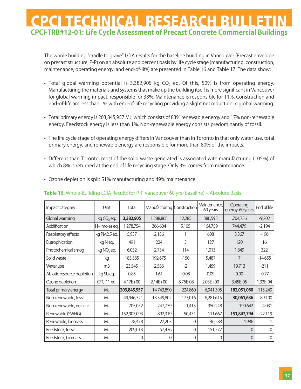The whole building "cradle to grave" LCIA results for the baseline building in Vancouver (Precast envelope on precast structure, P-P) on an absolute and percent basis by life cycle stage (manufacturing, construction, maintenance, operating energy, and end-of-life) are presented in Table 16 and Table 17. The data show:

- Total global warming potential is 3,382,905 kg CO<sub>2</sub> eq. Of this, 50% is from operating energy. Manufacturing the materials and systems that make up the building itself is more significant in Vancouver for global warming impact, responsible for 38%. Maintenance is responsible for 11%. Construction and end-of-life are less than 1% with end-of-life recycling providing a slight net reduction in global warming.
- Total primary energy is 203,845,957 MJ, which consists of 83% renewable energy and 17% non-renewable energy. Feedstock energy is less than 1%. Non-renewable energy consists predominantly of fossil.
- The life cycle stage of operating energy differs in Vancouver than in Toronto in that only water use, total primary energy, and renewable energy are responsible for more than 80% of the impacts.
- Different than Toronto, most of the solid waste generated is associated with manufacturing (105%) of which 8% is returned at the end of life recycling stage. Only 3% comes from maintenance.

|  |  | • Ozone depletion is split 51% manufacturing and 49% maintenance. |
|--|--|-------------------------------------------------------------------|
|--|--|-------------------------------------------------------------------|

| Impact category            | Unit                   | Total        | Manufacturing Construction |             | Maintenance.<br>60 years | Operating<br>energy, 60 years | End of life    |
|----------------------------|------------------------|--------------|----------------------------|-------------|--------------------------|-------------------------------|----------------|
| Global warming             | kg CO <sub>2</sub> eq. | 3,382,905    | 1,288,868                  | 12,285      | 386,593                  | 1,704,7361                    | $-9,202$       |
| Acidification              | H+ moles eq.           | 1,278,754    | 366,604                    | 5,105       | 164,759                  | 744,479                       | $-2,194$       |
| Respiratory effects        | kg PM2.5 eg.           | 5,937        | 2,156                      |             | 608                      | 3,367                         | $-196$         |
| Eutrophication             | kg Neg.                | 491          | 224                        | 5           | 127                      | 120                           | 16             |
| Photochemical smog         | kg NO <sub>x</sub> eq. | 6.032        | 2,734                      | 114         | 1.013                    | 1,849                         | 322            |
| Solid waste                | kg                     | 183,365      | 192,675                    | $-150$      | 5,487                    | 7                             | $-14,655$      |
| Water use                  | m <sub>3</sub>         | 23,545       | 2,586                      | $-2$        | 1,459                    | 19,713                        | $-211$         |
| Abiotic resource depletion | kg Sb eg.              | 0.85         | 1.61                       | $-0.08$     | 0.09                     | 0.00                          | $-0.77$        |
| Ozone depletion            | CFC-11 eq.             | $4.17E + 00$ | $2.14E + 00$               | $-8.76E-08$ | $2.03E + 00$             | 3.45E-05                      | 1.33E-04       |
| Total primary energy       | <b>MJ</b>              | 203,845,957  | 14,743,890                 | 224,860     | 6,941,395                | 182,051,060                   | $-115,249$     |
| Non-renewable, fossil      | MJ                     | 49,946,321   | 13,349,802                 | 173,016     | 6,281,615                | 30,061,636                    | $-89,100$      |
| Non-renewable, nuclear     | MJ                     | 705,052      | 247,779                    | 1,413       | 350,248                  | 190,642                       | $-4,031$       |
| Renewable (SWHG)           | MJ                     | 152,907,093  | 892,319                    | 50,431      | 111,667                  | 151,847,794                   | $-22,119$      |
| Renewable, biomass         | MJ                     | 78,478       | 27,203                     | 0           | 46,288                   | 4,986                         |                |
| Feedstock, fossil          | MJ                     | 209,013      | 57,436                     | 0           | 151,577                  | $\Omega$                      | U              |
| Feedstock, biomass         | MJ                     | 0            | O                          | 0           | 0                        | $\Omega$                      | $\overline{0}$ |

#### **Table 16.** Whole-Building LCIA Results for P-P Vancouver 60 yrs (baseline) – Absolute Basis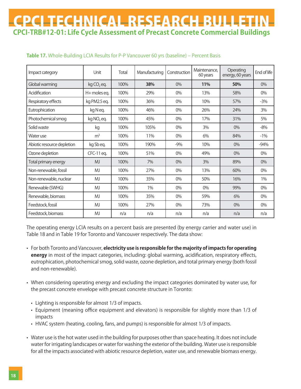| Impact category            | Unit                   | Total | Manufacturing | Construction | Maintenance,<br>60 years | Operating<br>energy, 60 years | End of life |
|----------------------------|------------------------|-------|---------------|--------------|--------------------------|-------------------------------|-------------|
| Global warming             | $kg CO$ , eq.          | 100%  | 38%           | 0%           | 11%                      | 50%                           | $0\%$       |
| Acidification              | H+ moles eq.           | 100%  | 29%           | 0%           | 13%                      | 58%                           | 0%          |
| Respiratory effects        | kg PM2.5 eq.           | 100%  | 36%           | 0%           | 10%                      | 57%                           | $-3%$       |
| Eutrophication             | kg Neg.                | 100%  | 46%           | 0%           | 26%                      | 24%                           | 3%          |
| Photochemical smog         | kg NO <sub>x</sub> eq. | 100%  | 45%           | 0%           | 17%                      | 31%                           | 5%          |
| Solid waste                | kg                     | 100%  | 105%          | 0%           | 3%                       | 0%                            | $-8%$       |
| Water use                  | m <sup>3</sup>         | 100%  | 11%           | 0%           | 6%                       | 84%                           | $-1\%$      |
| Abiotic resource depletion | kg Sb eg.              | 100%  | 190%          | $-9%$        | 10%                      | 0%                            | $-94%$      |
| Ozone depletion            | CFC-11 eq.             | 100%  | 51%           | 0%           | 49%                      | 0%                            | 0%          |
| Total primary energy       | <b>MJ</b>              | 100%  | 7%            | 0%           | 3%                       | 89%                           | 0%          |
| Non-renewable, fossil      | MJ                     | 100%  | 27%           | 0%           | 13%                      | 60%                           | 0%          |
| Non-renewable, nuclear     | <b>MJ</b>              | 100%  | 35%           | 0%           | 50%                      | 16%                           | 1%          |
| Renewable (SWHG)           | <b>MJ</b>              | 100%  | $1\%$         | 0%           | 0%                       | 99%                           | 0%          |
| Renewable, biomass         | <b>MJ</b>              | 100%  | 35%           | 0%           | 59%                      | 6%                            | 0%          |
| Feedstock, fossil          | <b>MJ</b>              | 100%  | 27%           | 0%           | 73%                      | 0%                            | 0%          |
| Feedstock, biomass         | MJ                     | n/a   | n/a           | n/a          | n/a                      | n/a                           | n/a         |

### **Table 17.** Whole-Building LCIA Results for P-P Vancouver 60 yrs (baseline) – Percent Basis

The operating energy LCIA results on a percent basis are presented (by energy carrier and water use) in Table 18 and in Table 19 for Toronto and Vancouver respectively. The data show:

- For both Toronto and Vancouver, **electricity use is responsible for the majority of impacts for operating energy** in most of the impact categories, including: global warming, acidification, respiratory effects, eutrophication, photochemical smog, solid waste, ozone depletion, and total primary energy (both fossil and non-renewable).
- When considering operating energy and excluding the impact categories dominated by water use, for the precast concrete envelope with precast concrete structure in Toronto:
	- Lighting is responsible for almost 1/3 of impacts.
	- Equipment (meaning office equipment and elevators) is responsible for slightly more than 1/3 of impacts
	- HVAC system (heating, cooling, fans, and pumps) is responsible for almost 1/3 of impacts.
- Water use is the hot water used in the building for purposes other than space heating. It does not include water for irrigating landscapes or water for washing the exterior of the building. Water use is responsible for all the impacts associated with abiotic resource depletion, water use, and renewable biomass energy.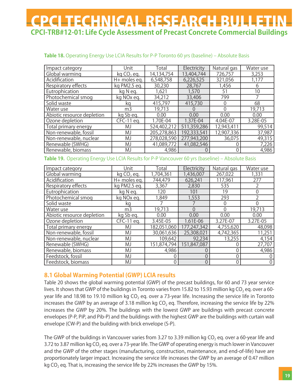|  |  |  |  | Table 18. Operating Energy Use LCIA Results for P-P Toronto 60 yrs (baseline) - Absolute Basis |
|--|--|--|--|------------------------------------------------------------------------------------------------|
|--|--|--|--|------------------------------------------------------------------------------------------------|

| Impact category            | Unit                   | Total       | Electricity      | Natural gas | Water use |
|----------------------------|------------------------|-------------|------------------|-------------|-----------|
| Global warming             | $kg CO$ , eq.          | 14,134,754  | 13,404,744       | 726,757     | 3,253     |
| Acidification              | H+ moles eq.           | 6,548,758   | 6,226,525        | 321,056     | 1,177     |
| Respiratory effects        | kg PM2.5 eg.           | 30,230      | 28,767           | 1,456       | h         |
| Eutrophication             | kg N eg.               | 1,621       | 1,570            | 51          | 10        |
| Photochemical smog         | kg NO <sub>x</sub> eg. | 34,212      | 33,406           | 799         |           |
| Solid waste                | kq                     | 415,797     | 415,730          |             | 68        |
| Water use                  | m <sub>3</sub>         | 19,713      | $\left( \right)$ |             | 19,713    |
| Abiotic resource depletion | kg Sb eg.              | 0.00        | 0.00             | 0.00        | 0.00      |
| Ozone depletion            | CFC-11 eq.             | 1.70E-04    | 1.37E-04         | 4.04E-07    | 3.28E-05  |
| Total primary energy       | MJ                     | 524,402,212 | 511,359,286      | 12,943,411  | 99,514    |
| Non-renewable, fossil      | MJ                     | 205,278,863 | 192,333,541      | 12,907,336  | 37,987    |
| Non-renewable, nuclear     | MJ                     | 278,028,590 | 277,943,200      | 36,075      | 49,315    |
| Renewable (SWHG)           | MJ                     | 41,089,772  | 41,082,546       |             | 7,226     |
| Renewable, biomass         | MJ                     | 4,986       |                  |             | 4,986     |

#### **Table 19.** Operating Energy Use LCIA Results for P-P Vancouver 60 yrs (baseline) – Absolute Basis

| Impact category            | Unit                      | Total       | Electricity | Natural gas | Water use |
|----------------------------|---------------------------|-------------|-------------|-------------|-----------|
| Global warming             | $kq$ CO <sub>2</sub> eq.  | 1,704,361   | 1,436,007   | 267,022     | 1,331     |
| Acidification              | H+ moles eq.              | 744,479     | 626,241     | 117,961     | 277       |
| Respiratory effects        | $\overline{kq}$ PM2.5 eq. | 3,367       | 2,830       | 535         |           |
| Eutrophication             | kg N eg.                  | 120         | 101         | 19          |           |
| Photochemical smog         | kg NOx eg.                | 1,849       | 1,553       | 293         |           |
| Solid waste                | kq                        |             |             |             |           |
| Water use                  | m <sub>3</sub>            | 19,713      | $\Omega$    |             | 19,713    |
| Abiotic resource depletion | kg Sb eg.                 | 0.00        | 0.00        | 0.00        | 0.00      |
| Ozone depletion            | CFC-11 eq.                | 3.45E-05    | 1.61E-06    | 3.27E-07    | 3.27E-05  |
| Total primary energy       | MJ                        | 182,051,060 | 177,247,342 | 4,755,620   | 48,098    |
| Non-renewable, fossil      | MJ                        | 30,061,636  | 25,308,021  | 4,742,365   | 11,251    |
| Non-renewable, nuclear     | MJ                        | 109,642     | 92,234      | 13,255      | 4,154     |
| Renewable (SWHG)           | MJ                        | 151,874,794 | 151,847,087 |             | 27,707    |
| Renewable, biomass         | MJ                        | 4,986       |             |             | 4,986     |
| Feedstock, fossil          | MJ                        | 0           |             |             |           |
| Feedstock, biomass         | MJ                        | 0           | $\Omega$    |             | 0         |

### **8.1 Global Warming Potential (GWP) LCIA results**

Table 20 shows the global warming potential (GWP) of the precast buildings, for 60 and 73 year service lives. It shows that GWP of the buildings in Toronto varies from 15.82 to 15.93 million kg CO<sub>2</sub> eq. over a 60year life and 18.98 to 19.10 million kg CO<sub>2</sub> eq. over a 73-year life. Increasing the service life in Toronto increases the GWP by an average of 3.18 million kg  $CO<sub>2</sub>$  eq. Therefore, increasing the service life by 22% increases the GWP by 20%. The buildings with the lowest GWP are buildings with precast concrete envelopes (P-P, PiP, and Pib-P) and the buildings with the highest GWP are the buildings with curtain wall envelope (CW-P) and the building with brick envelope (S-P).

The GWP of the buildings in Vancouver varies from 3.27 to 3.39 million kg CO<sub>2</sub> eq. over a 60-year life and 3.72 to 3.87 million kg CO<sub>2</sub> eq. over a 73-year life. The GWP of operating energy is much lower in Vancouver and the GWP of the other stages (manufacturing, construction, maintenance, and end-of-life) have are proportionately larger impact. Increasing the service life increases the GWP by an average of 0.47 million kg  $CO<sub>2</sub>$  eg. That is, increasing the service life by 22% increases the GWP by 15%.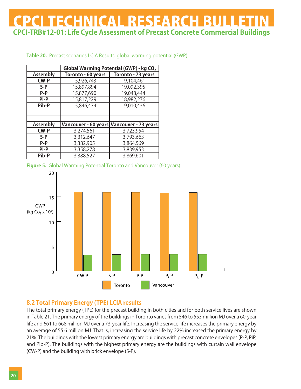|                 | Global Warming Potential (GWP) - kg CO <sub>2</sub> |                                           |  |  |  |  |
|-----------------|-----------------------------------------------------|-------------------------------------------|--|--|--|--|
| <b>Assembly</b> | Toronto - 60 years                                  | Toronto - 73 years                        |  |  |  |  |
| <b>CW-P</b>     | 15,926,743                                          | 19,104,461                                |  |  |  |  |
| $S-P$           | 15,897,894                                          | 19,092,395                                |  |  |  |  |
| P-P             | 15,877,690                                          | 19,048,444                                |  |  |  |  |
| Pi-P            | 15,817,229                                          | 18,982,276                                |  |  |  |  |
| Pib-P           | 15,846,474                                          | 19,010,436                                |  |  |  |  |
|                 |                                                     |                                           |  |  |  |  |
|                 |                                                     |                                           |  |  |  |  |
| <b>Assembly</b> |                                                     | Vancouver - 60 years Vancouver - 73 years |  |  |  |  |
| <b>CW-P</b>     | 3,274,561                                           | 3,723,954                                 |  |  |  |  |
| $S-P$           | 3,312,647                                           | 3,793,663                                 |  |  |  |  |
| P-P             | 3,382,905                                           | 3,864,569                                 |  |  |  |  |
| Pi-P            | 3,358,278                                           | 3,839,953                                 |  |  |  |  |
| Pib-P           | 3,388,527                                           | 3,869,601                                 |  |  |  |  |

#### **Table 20.** Precast scenarios LCIA Results: global warming potential (GWP)





### **8.2 Total Primary Energy (TPE) LCIA results**

The total primary energy (TPE) for the precast building in both cities and for both service lives are shown in Table 21. The primary energy of the buildings in Toronto varies from 546 to 553 million MJ over a 60-year life and 661 to 668 million MJ over a 73-year life. Increasing the service life increases the primary energy by an average of 55.6 million MJ. That is, increasing the service life by 22% increased the primary energy by 21%. The buildings with the lowest primary energy are buildings with precast concrete envelopes (P-P, PiP, and Pib-P). The buildings with the highest primary energy are the buildings with curtain wall envelope (CW-P) and the building with brick envelope (S-P).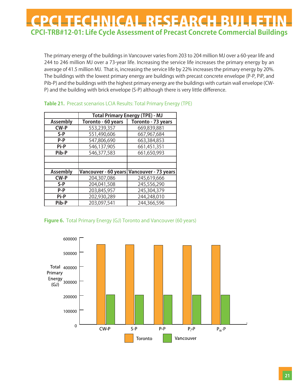The primary energy of the buildings in Vancouver varies from 203 to 204 million MJ over a 60-year life and 244 to 246 million MJ over a 73-year life. Increasing the service life increases the primary energy by an average of 41.5 million MJ. That is, increasing the service life by 22% increases the primary energy by 20%. The buildings with the lowest primary energy are buildings with precast concrete envelope (P-P, PiP, and Pib-P) and the buildings with the highest primary energy are the buildings with curtain wall envelope (CW-P) and the building with brick envelope (S-P) although there is very little difference.

|                 | <b>Total Primary Energy (TPE) - MJ</b> |                                           |  |  |  |
|-----------------|----------------------------------------|-------------------------------------------|--|--|--|
| <b>Assembly</b> | Toronto - 60 years                     | Toronto - 73 years                        |  |  |  |
| <b>CW-P</b>     | 553,239,357                            | 669,839,881                               |  |  |  |
| $S-P$           | 551,490,606                            | 667,967,684                               |  |  |  |
| P-P             | 547,806,690                            | 663,384,853                               |  |  |  |
| Pi-P            | 546,137,905                            | 661,451,351                               |  |  |  |
| Pib-P           | 546,377,583                            | 661,650,993                               |  |  |  |
|                 |                                        |                                           |  |  |  |
|                 |                                        |                                           |  |  |  |
| <b>Assembly</b> |                                        | Vancouver - 60 years Vancouver - 73 years |  |  |  |
| <b>CW-P</b>     | 204,307,086                            | 245,619,666                               |  |  |  |
| $S-P$           | 204,041,508                            | 245,556,290                               |  |  |  |
| $P-P$           | 203,845,957                            | 245,304,379                               |  |  |  |
| Pi-P            | 202,930,289                            | 244,248,010                               |  |  |  |
| Pib-P           | 203,097,541                            | 244,366,596                               |  |  |  |

#### **Table 21.** Precast scenarios LCIA Results: Total Primary Energy (TPE)

#### **Figure 6.** Total Primary Energy (GJ) Toronto and Vancouver (60 years)

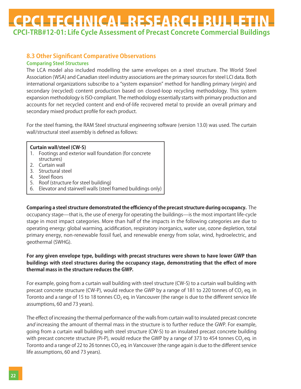### **8.3 Other Significant Comparative Observations**

### **Comparing Steel Structures**

The LCA model also included modelling the same envelopes on a steel structure. The World Steel Association (WSA) and Canadian steel industry associations are the primary sources for steel LCI data. Both international organizations subscribe to a "system expansion" method for handling primary (virgin) and secondary (recycled) content production based on closed-loop recycling methodology. This system expansion methodology is ISO-compliant. The methodology essentially starts with primary production and accounts for net recycled content and end-of-life recovered metal to provide an overall primary and secondary mixed product profile for each product.

For the steel framing, the RAM Steel structural engineering software (version 13.0) was used. The curtain wall/structural steel assembly is defined as follows:

#### **Curtain wall/steel (CW-S)**

- 1. Footings and exterior wall foundation (for concrete structures)
- 2. Curtain wall
- 3. Structural steel
- 4. Steel floors
- 5. Roof (structure for steel building)
- 6. Elevator and stairwell walls (steel framed buildings only)

**Comparing a steel structure demonstrated the efficiency of the precast structure during occupancy.** The occupancy stage̶that is, the use of energy for operating the buildings̶is the most important life-cycle stage in most impact categories. More than half of the impacts in the following categories are due to operating energy: global warming, acidification, respiratory inorganics, water use, ozone depletion, total primary energy, non-renewable fossil fuel, and renewable energy from solar, wind, hydroelectric, and geothermal (SWHG).

### **For any given envelope type, buildings with precast structures were shown to have lower GWP than buildings with steel structures during the occupancy stage, demonstrating that the effect of more thermal mass in the structure reduces the GWP.**

For example, going from a curtain wall building with steel structure (CW-S) to a curtain wall building with precast concrete structure (CW-P), would reduce the GWP by a range of 181 to 220 tonnes of CO<sub>2</sub> eq. in Toronto and a range of 15 to 18 tonnes CO<sub>2</sub> eq. in Vancouver (the range is due to the different service life assumptions, 60 and 73 years).

The effect of increasing the thermal performance of the walls from curtain wall to insulated precast concrete and increasing the amount of thermal mass in the structure is to further reduce the GWP. For example, going from a curtain wall building with steel structure (CW-S) to an insulated precast concrete building with precast concrete structure (Pi-P), would reduce the GWP by a range of 373 to 454 tonnes CO<sub>2</sub> eq. in Toronto and a range of 22 to 26 tonnes CO<sub>2</sub> eq. in Vancouver (the range again is due to the different service life assumptions, 60 and 73 years).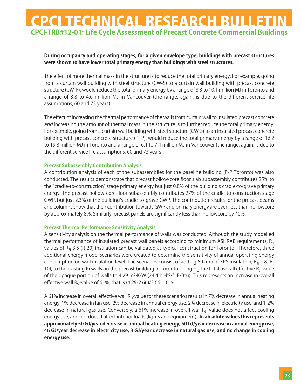### **During occupancy and operating stages, for a given envelope type, buildings with precast structures were shown to have lower total primary energy than buildings with steel structures.**

The effect of more thermal mass in the structure is to reduce the total primary energy. For example, going from a curtain wall building with steel structure (CW-S) to a curtain wall building with precast concrete structure (CW-P), would reduce the total primary energy by a range of 8.3 to 10.1 million MJ in Toronto and a range of 3.8 to 4.6 million MJ in Vancouver (the range, again, is due to the different service life assumptions, 60 and 73 years).

The effect of increasing the thermal performance of the walls from curtain wall to insulated precast concrete and increasing the amount of thermal mass in the structure is to further reduce the total primary energy. For example, going from a curtain wall building with steel structure (CW-S) to an insulated precast concrete building with precast concrete structure (Pi-P), would reduce the total primary energy by a range of 16.2 to 19.8 million MJ in Toronto and a range of 6.1 to 7.4 million MJ in Vancouver (the range, again, is due to the different service life assumptions, 60 and 73 years).

### **Precast Subassembly Contribution Analysis**

A contribution analysis of each of the subassemblies for the baseline building (P-P Toronto) was also conducted. The results demonstrate that precast hollow-core floor slab subassembly contributes 25% to the "cradle-to-construction" stage primary energy but just 0.8% of the buildingʻs cradle-to-grave primary energy. The precast hollow-core floor subassembly contributes 27% of the cradle-to-construction stage GWP, but just 2.3% of the buildingʻs cradle-to-grave GWP. The contribution results for the precast beams and columns show that their contribution towards GWP and primary energy are even less than hollowcore by approximately 8%. Similarly, precast panels are significantly less than hollowcore by 40%.

#### **Precast Thermal Performance Sensitivity Analysis**

A sensitivity analysis on the thermal performance of walls was conducted. Although the study modelled thermal performance of insulated precast wall panels according to minimum ASHRAE requirements,  $R_{\rm SI}$ values of  $R_{SI}$ -3.5 (R-20) insulation can be validated as typical construction for Toronto. Therefore, three additional energy model scenarios were created to determine the sensitivity of annual operating energy consumption on wall insulation level. The scenarios consist of adding 50 mm of XPS insulation,  $R_{\rm si}$ -1.8 (R-10), to the existing Pi walls on the precast building in Toronto, bringing the total overall effective  $R_{s}$  value of the opaque portion of walls to 4.29 m<sup>2</sup>•K/W (24.4 hr•ft<sup>2</sup>•°F/Btu). This represents an increase in overall effective wall R<sub>SI</sub>-value of 61%, that is  $(4.29-2.66)/2.66 = 61%$ .

A 61% increase in overall effective wall R<sub>SI</sub>-value for these scenarios results in 7% decrease in annual heating energy, 1% decrease in fan use, 2% decrease in annual energy use, 2% decrease in electricity use, and 1-2% decrease in natural gas use. Conversely, a 61% increase in overall wall  $R_{\rm s}$ -value does not affect cooling energy use, and nor does it affect interior loads (lights and equipment). **In absolute values this represents approximately 50 GJ/year decrease in annual heating energy, 50 GJ/year decrease in annual energy use, 46 GJ/year decrease in electricity use, 3 GJ/year decrease in natural gas use, and no change in cooling energy use.**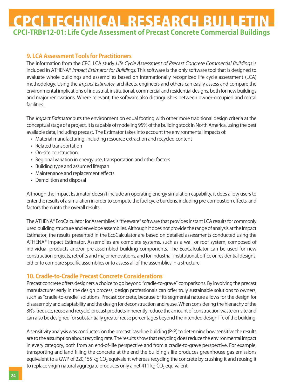### **9. LCA Assessment Tools for Practitioners**

The information from the CPCI LCA study Life Cycle Assessment of Precast Concrete Commercial Buildings is included in ATHENA® Impact Estimator for Buildings. This software is the only software tool that is designed to evaluate whole buildings and assemblies based on internationally recognized life cycle assessment (LCA) methodology. Using the *Impact Estimator*, architects, engineers and others can easily assess and compare the environmental implications of industrial, institutional, commercial and residential designs, both for new buildings and major renovations. Where relevant, the software also distinguishes between owner-occupied and rental facilities.

The *Impact Estimator* puts the environment on equal footing with other more traditional design criteria at the conceptual stage of a project. It is capable of modeling 95% of the building stock in North America, using the best available data, including precast. The Estimator takes into account the environmental impacts of:

- Material manufacturing, including resource extraction and recycled content
- Related transportation
- On-site construction
- Regional variation in energy use, transportation and other factors
- Building type and assumed lifespan
- Maintenance and replacement effects
- Demolition and disposal

Although the Impact Estimator doesn't include an operating energy simulation capability, it does allow users to enter the results of a simulation in order to compute the fuel cycle burdens, including pre-combustion effects, and factors them into the overall results.

The ATHENA® EcoCalculator for Assemblies is "freeware" software that provides instant LCA results for commonly used building structure and envelope assemblies. Although it does not provide the range of analysis at the Impact Estimator, the results presented in the EcoCalculator are based on detailed assessments conducted using the ATHENA® Impact Estimator. Assemblies are complete systems, such as a wall or roof system, composed of individual products and/or pre-assembled building components. The EcoCalculator can be used for new construction projects, retrofits and major renovations, and for industrial, institutional, office or residential designs, either to compare specific assemblies or to assess all of the assemblies in a structure.

### **10. Cradle-to-Cradle Precast Concrete Considerations**

Precast concrete offers designers a choice to go beyond "cradle-to-grave" comparisons. By involving the precast manufacturer early in the design process, design professionals can offer truly sustainable solutions to owners, such as "cradle-to-cradle" solutions. Precast concrete, because of its segmental nature allows for the design for disassembly and adaptability and the design for deconstruction and reuse. When considering the hierarchy of the 3R's, (reduce, reuse and recycle) precast products inherently reduce the amount of construction waste on-site and can also be designed for substantially greater reuse percentages beyond the intended design life of the building.

A sensitivity analysis was conducted on the precast baseline building (P-P) to determine how sensitive the results are to the assumption about recycling rate. The results show that recycling does reduce the environmental impact in every category, both from an end-of-life perspective and from a cradle-to-grave perspective. For example, transporting and land filling the concrete at the end the building's life produces greenhouse gas emissions equivalent to a GWP of 220,155 kg CO<sub>2</sub> equivalent whereas recycling the concrete by crushing it and reusing it to replace virgin natural aggregate produces only a net 411 kg  $CO<sub>2</sub>$  equivalent.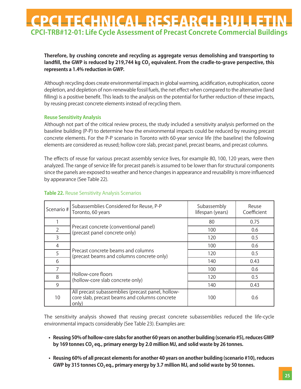### **Therefore, by crushing concrete and recycling as aggregate versus demolishing and transporting to** landfill, the GWP is reduced by 219,744 kg CO<sub>2</sub> equivalent. From the cradle-to-grave perspective, this **represents a 1.4% reduction in GWP.**

Although recycling does create environmental impacts in global warming, acidification, eutrophication, ozone depletion, and depletion of non-renewable fossil fuels, the net effect when compared to the alternative (land filling) is a positive benefit. This leads to the analysis on the potential for further reduction of these impacts, by reusing precast concrete elements instead of recycling them.

#### **Reuse Sensitivity Analysis**

Although not part of the critical review process, the study included a sensitivity analysis performed on the baseline building (P-P) to determine how the environmental impacts could be reduced by reusing precast concrete elements. For the P-P scenario in Toronto with 60-year service life (the baseline) the following elements are considered as reused; hollow core slab, precast panel, precast beams, and precast columns.

The effects of reuse for various precast assembly service lives, for example 80, 100, 120 years, were then analyzed. The range of service life for precast panels is assumed to be lower than for structural components since the panels are exposed to weather and hence changes in appearance and reusability is more influenced by appearance (See Table 22).

| Scenario #     | Subassemblies Considered for Reuse, P-P<br>Toronto, 60 years                                                | Subassembly<br>lifespan (years) | Reuse<br>Coefficient |
|----------------|-------------------------------------------------------------------------------------------------------------|---------------------------------|----------------------|
|                |                                                                                                             | 80                              | 0.75                 |
| $\overline{2}$ | Precast concrete (conventional panel)<br>(precast panel concrete only)                                      | 100                             | 0.6                  |
| 3              |                                                                                                             | 120                             | 0.5                  |
| $\overline{4}$ |                                                                                                             | 100                             | 0.6                  |
| 5              | Precast concrete beams and columns<br>(precast beams and columns concrete only)                             | 120                             | 0.5                  |
| 6              |                                                                                                             | 140                             | 0.43                 |
| 7              |                                                                                                             | 100                             | 0.6                  |
| 8              | Hollow-core floors<br>(hollow-core slab concrete only)                                                      | 120                             | 0.5                  |
| 9              |                                                                                                             | 140                             | 0.43                 |
| 10             | All precast subassemblies (precast panel, hollow-<br>core slab, precast beams and columns concrete<br>only) | 100                             | 0.6                  |

### **Table 22.** Reuse Sensitivity Analysis Scenarios

The sensitivity analysis showed that reusing precast concrete subassemblies reduced the life-cycle environmental impacts considerably (See Table 23). Examples are:

- **Reusing 50% of hollow-core slabs for another 60 years on another building (scenario #5), reduces GWP** by 169 tonnes CO<sub>2</sub> eq., primary energy by 2.0 million MJ, and solid waste by 26 tonnes.
- **Reusing 60% of all precast elements for another 40 years on another building (scenario #10), reduces** GWP by 315 tonnes CO<sub>2</sub> eq., primary energy by 3.7 million MJ, and solid waste by 50 tonnes.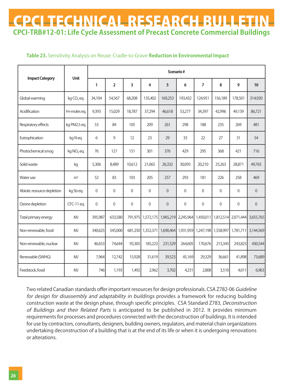### **Table 23.** Sensitivity Analysis on Reuse: Cradle-to-Grave **Reduction in Environmental Impact**

|                            |                        | Scenario#   |                |                  |             |                |             |                |                     |             |                  |
|----------------------------|------------------------|-------------|----------------|------------------|-------------|----------------|-------------|----------------|---------------------|-------------|------------------|
| <b>Impact Category</b>     | <b>Unit</b>            | 1           | $\overline{2}$ | 3                | 4           | 5              | 6           | $\overline{7}$ | 8                   | 9           | 10 <sup>°</sup>  |
| Global warming             | $kg CO2$ eq.           | 34,104      | 54,567         | 68,208           | 135,402     | 169,253        | 193,432     | 124,951        | 156,189             | 178,501     | 314,920          |
| Acidification              | H+moles eq.            | 9,393       | 15,029         | 18,787           | 37,294      | 46,618         | 53,277      | 34,397         | 42,996              | 49,139      | 86,721           |
| Respiratory effects        | kg PM2.5 eq.           | 53          | 84             | 105              | 209         | 261            | 298         | 188            | 235                 | 269         | 481              |
| Eutrophication             | kg Neq.                | 6           | 9              | 12               | 23          | 29             | 33          | 22             | 27                  | 31          | 54               |
| Photochemical smog         | kg NO <sub>x</sub> eq. | 76          | 121            | 151              | 301         | 376            | 429         | 295            | 368                 | 421         | 716              |
| Solid waste                | kg                     | 5,306       | 8,489          | 10,612           | 21,065      | 26,332         | 30,093      | 20,210         | 25,263              | 28,871      | 49,765           |
| Water use                  | m <sup>3</sup>         | 52          | 83             | 103              | 205         | 257            | 293         | 181            | 226                 | 258         | 469              |
| Abiotic resource depletion | kg Sb eq.              | $\Omega$    | $\Omega$       | $\Omega$         | $\Omega$    | $\overline{0}$ | $\Omega$    | $\Omega$       | $\Omega$            | $\Omega$    | $\Omega$         |
| Ozone depletion            | CFC-11 eq.             | $\mathbf 0$ | $\mathbf 0$    | $\boldsymbol{0}$ | $\mathbf 0$ | $\mathbf 0$    | $\mathbf 0$ | $\overline{0}$ | $\boldsymbol{0}$    | $\mathbf 0$ | $\boldsymbol{0}$ |
| Total primary energy       | <b>MJ</b>              | 395,987     | 633,580        | 791,975          | 1,572,175   | 1,965,219      | 2,245,964   |                | 1,450,011 1,812,514 | 2,071,444   | 3,655,765        |
| Non-renewable, fossil      | <b>MJ</b>              | 340,625     | 545,000        | 681,250          | 1,352,371   | 1,690,464      | 1,931,959   |                | 1,247,198 1,558,997 | 1,781,711   | 3,144,569        |
| Non-renewable, nuclear     | <b>MJ</b>              | 46,653      | 74,644         | 93,305           | 185,223     | 231,529        | 264,605     | 170,676        | 213,345             | 243,823     | 430,544          |
| Renewable (SWHG)           | MJ                     | 7,964       | 12,742         | 15,928           | 31,619      | 39,523         | 45,169      | 29,329         | 36,661              | 41,898      | 73,689           |
| Feedstock, fossil          | <b>MJ</b>              | 746         | 1,193          | 1,492            | 2,962       | 3,702          | 4,231       | 2,808          | 3,510               | 4,011       | 6,963            |

Two related Canadian standards offer important resources for design professionals. CSA Z782-06 Guideline for design for disassembly and adaptability in buildings provides a framework for reducing building construction waste at the design phase, through specific principles. CSA Standard Z783, Deconstruction of Buildings and their Related Parts is anticipated to be published in 2012. It provides minimum requirements for processes and procedures connected with the deconstruction of buildings. It is intended for use by contractors, consultants, designers, building owners, regulators, and material chain organizations undertaking deconstruction of a building that is at the end of its life or when it is undergoing renovations or alterations.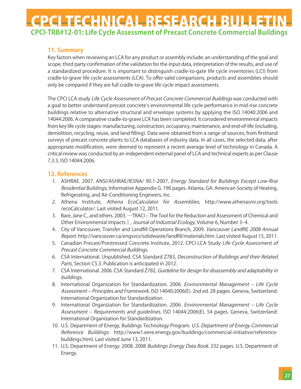### **11. Summary**

Key factors when reviewing an LCA for any product or assembly include; an understanding of the goal and scope, third party confirmation of the validation for the input data, interpretation of the results, and use of a standardized procedure. It is important to distinguish cradle-to-gate life cycle inventories (LCI) from cradle-to-grave life cycle assessments (LCA). To offer valid comparisons, products and assemblies should only be compared if they are full cradle-to-grave life cycle impact assessments.

The CPCI LCA study Life Cycle Assessment of Precast Concrete Commercial Buildings was conducted with a goal to better understand precast concrete's environmental life cycle performance in mid-rise concrete buildings relative to alternative structural and envelope systems by applying the ISO 14040:2006 and 14044:2006. A comparative cradle-to-grave LCA has been completed. It considered environmental impacts from key life cycle stages: manufacturing, construction, occupancy, maintenance, and end-of-life (including, demolition, recycling, reuse, and land filling). Data were obtained from a range of sources; from firsthand surveys of precast concrete plants to LCA databases of industry data. In all cases, the selected data, after appropriate modification, were deemed to represent a recent average level of technology in Canada. A critical review was conducted by an independent external panel of LCA and technical experts as per Clause 7.3.3, ISO 14044:2006.

### **12. References**

- 1. ASHRAE. 2007. ANSI/ASHRAE/IESNA/ 90.1-2007, Energy Standard for Buildings Except Low-Rise Residential Buildings, Informative Appendix G. 190 pages. Atlanta, GA: American Society of Heating, Refrigerating, and Air-Conditioning Engineers, Inc.
- 2. Athena Institute, Athena EcoCalculator for Assemblies, http://www.athenasmi.org/tools /ecoCalculator/. Last visited August 12, 2011.
- 3. Bare, Jane C., and others. 2003. —TRACI The Tool for the Reduction and Assessment of Chemical and Other Environmental Impacts ||, Journal of Industrial Ecology, Volume 6, Number 3–4.
- 4. City of Vancouver, Transfer and Landfill Operations Branch, 2009. Vancouver Landfill, 2008 Annual Report. http://vancouver.ca/engsvcs/solidwaste/landfill/materials.htm. Last visited August 15, 2011.
- 5. Canadian Precast/Prestressed Concrete Institute, 2012. CPCI LCA Study Life Cycle Assessment of Precast Concrete Commercial Buildings.
- 6. CSA International. Unpublished. CSA Standard Z783, Deconstruction of Buildings and their Related Parts. Section C5.3. Publication is anticipated in 2012.
- 7. CSA International. 2006. CSA Standard Z782, Guideline for design for disassembly and adaptability in buildings.
- 8. International Organization for Standardization. 2006. Environmental Management Life Cycle Assessment – Principles and Framework. ISO 14040:2006(E). 2nd ed. 28 pages. Geneva, Switzerland: International Organization for Standardization.
- 9. International Organization for Standardization. 2006. Environmental Management Life Cycle Assessment – Requirements and quidelines. ISO 14044:2006(E). 54 pages. Geneva, Switzerland: International Organization for Standardization.
- 10. U.S. Department of Energy, Buildings Technology Program. U.S. Department of Energy Commercial Reference Buildings. http://www1.eere.energy.gov/buildings/commercial-initiative/referencebuildings.html. Last visited June 13, 2011.
- 11. U.S. Department of Energy. 2008. 2008 Buildings Energy Data Book. 232 pages. U.S. Department of Energy.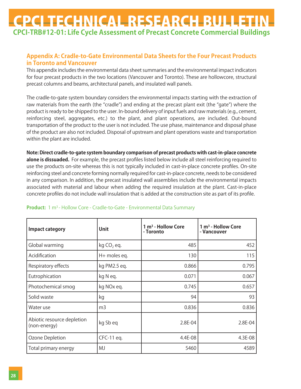### **Appendix A: Cradle-to-Gate Environmental Data Sheets for the Four Precast Products in Toronto and Vancouver**

This appendix includes the environmental data sheet summaries and the environmental impact indicators for four precast products in the two locations (Vancouver and Toronto). These are hollowcore, structural precast columns and beams, architectural panels, and insulated wall panels.

The cradle-to-gate system boundary considers the environmental impacts starting with the extraction of raw materials from the earth (the "cradle") and ending at the precast plant exit (the "gate") where the product is ready to be shipped to the user. In-bound delivery of input fuels and raw materials (e.g., cement, reinforcing steel, aggregates, etc.) to the plant, and plant operations, are included. Out-bound transportation of the product to the user is not included. The use phase, maintenance and disposal phase of the product are also not included. Disposal of upstream and plant operations waste and transportation within the plant are included.

**Note: Direct cradle-to-gate system boundary comparison of precast products with cast-in-place concrete alone is dissuaded.** For example, the precast profiles listed below include all steel reinforcing required to use the products on-site whereas this is not typically included in cast-in-place concrete profiles. On-site reinforcing steel and concrete forming normally required for cast-in-place concrete, needs to be considered in any comparison. In addition, the precast insulated wall assemblies include the environmental impacts associated with material and labour when adding the required insulation at the plant. Cast-in-place concrete profiles do not include wall insulation that is added at the construction site as part of its profile.

| <b>Impact category</b>                     | <b>Unit</b>            | 1 m <sup>3</sup> - Hollow Core<br>- Toronto | 1 m <sup>3</sup> - Hollow Core<br>- Vancouver |
|--------------------------------------------|------------------------|---------------------------------------------|-----------------------------------------------|
| Global warming                             | kg CO <sub>2</sub> eq. | 485                                         | 452                                           |
| Acidification                              | H+ moles eq.           | 130                                         | 115                                           |
| Respiratory effects                        | kg PM2.5 eq.           | 0.866                                       | 0.795                                         |
| Eutrophication                             | kg N eq.               | 0.071                                       | 0.067                                         |
| Photochemical smog                         | kg NOx eq.             | 0.745                                       | 0.657                                         |
| Solid waste                                | kg                     | 94                                          | 93                                            |
| Water use                                  | m <sub>3</sub>         | 0.836                                       | 0.836                                         |
| Abiotic resource depletion<br>(non-energy) | kg Sb eq               | 2.8E-04                                     | 2.8E-04                                       |
| Ozone Depletion                            | CFC-11 eq.             | 4.4E-08                                     | 4.3E-08                                       |
| Total primary energy                       | <b>MJ</b>              | 5460                                        | 4589                                          |

#### **Product:** 1 m<sup>3</sup> - Hollow Core - Cradle-to-Gate - Environmental Data Summary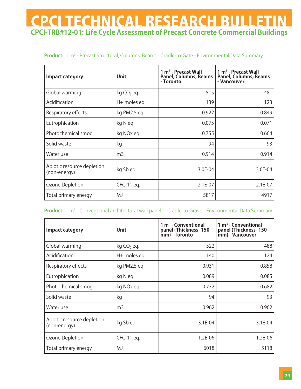#### **Product:** 1 m3 - Precast Structural, Columns, Beams - Cradle-to-Gate - Environmental Data Summary

| <b>Impact category</b>                     | Unit                   | 1 m <sup>3</sup> - Precast Wall<br>Panel, Columns, Beams<br>- Toronto | 1 m <sup>3</sup> - Precast Wall<br>Panel, Columns, Beams<br>- Vancouver |
|--------------------------------------------|------------------------|-----------------------------------------------------------------------|-------------------------------------------------------------------------|
| Global warming                             | kg CO <sub>2</sub> eq. | 515                                                                   | 481                                                                     |
| Acidification                              | H+ moles eq.           | 139                                                                   | 123                                                                     |
| Respiratory effects                        | kg PM2.5 eq.           | 0.922                                                                 | 0.849                                                                   |
| Eutrophication                             | kg N eq.               | 0.075                                                                 | 0.071                                                                   |
| Photochemical smog                         | kg NOx eq.             | 0.755                                                                 | 0.664                                                                   |
| Solid waste                                | kg                     | 94                                                                    | 93                                                                      |
| Water use                                  | m <sub>3</sub>         | 0.914                                                                 | 0.914                                                                   |
| Abiotic resource depletion<br>(non-energy) | kg Sb eg               | 3.0E-04                                                               | 3.0E-04                                                                 |
| Ozone Depletion                            | CFC-11 eq.             | 2.1E-07                                                               | $2.1E-07$                                                               |
| Total primary energy                       | <b>MJ</b>              | 5817                                                                  | 4917                                                                    |

#### **Product:** 1 m3 - Conventional architectural wall panels - Cradle-to-Grave - Environmental Data Summary

| <b>Impact category</b>                     | <b>Unit</b>            | $1 \text{ m}^3$ - Conventional<br>panel (Thickness-150<br>mm) - Toronto | $1 m3$ - Conventional<br>panel (Thickness-150<br>mm) - Vancouver |
|--------------------------------------------|------------------------|-------------------------------------------------------------------------|------------------------------------------------------------------|
| Global warming                             | kg CO <sub>2</sub> eq. | 522                                                                     | 488                                                              |
| Acidification                              | H+ moles eq.           | 140                                                                     | 124                                                              |
| Respiratory effects                        | kg PM2.5 eq.           | 0.931                                                                   | 0.858                                                            |
| Eutrophication                             | kg N eg.               | 0.089                                                                   | 0.085                                                            |
| Photochemical smog                         | kg NOx eq.             | 0.772                                                                   | 0.682                                                            |
| Solid waste                                | kg                     | 94                                                                      | 93                                                               |
| Water use                                  | m3                     | 0.962                                                                   | 0.962                                                            |
| Abiotic resource depletion<br>(non-energy) | kg Sb eq               | 3.1E-04                                                                 | 3.1E-04                                                          |
| Ozone Depletion                            | CFC-11 eq.             | 1.2E-06                                                                 | $1.2E-06$                                                        |
| Total primary energy                       | MJ                     | 6018                                                                    | 5118                                                             |